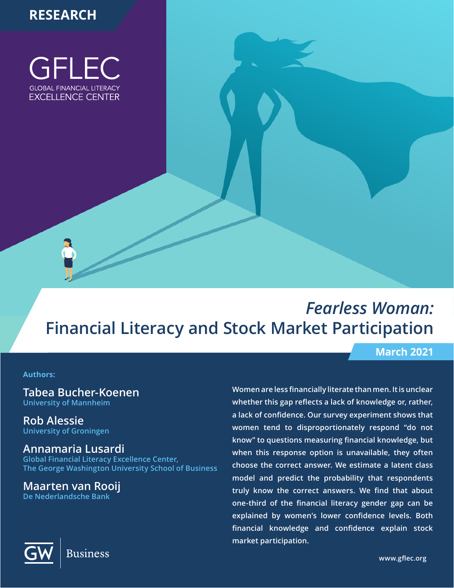# **RESEARCH**

GFLEC **GLOBAL FINANCIAL LITERACY EXCELLENCE CENTER** 

# *Fearless Woman:*  **Financial Literacy and Stock Market Participation**

#### **Authors:**

**Tabea Bucher-Koenen University of Mannheim** 

**Rob Alessie University of Groningen**

# **Annamaria Lusardi**

**Global Financial Literacy Excellence Center, The George Washington University School of Business**

**Maarten van Rooij De Nederlandsche Bank**

# **March 2021**

**Women are less financially literate than men. It is unclear whether this gap reflects a lack of knowledge or, rather, a lack of confidence. Our survey experiment shows that women tend to disproportionately respond "do not know" to questions measuring financial knowledge, but when this response option is unavailable, they often choose the correct answer. We estimate a latent class model and predict the probability that respondents truly know the correct answers. We find that about one-third of the financial literacy gender gap can be explained by women's lower confidence levels. Both financial knowledge and confidence explain stock market participation.**

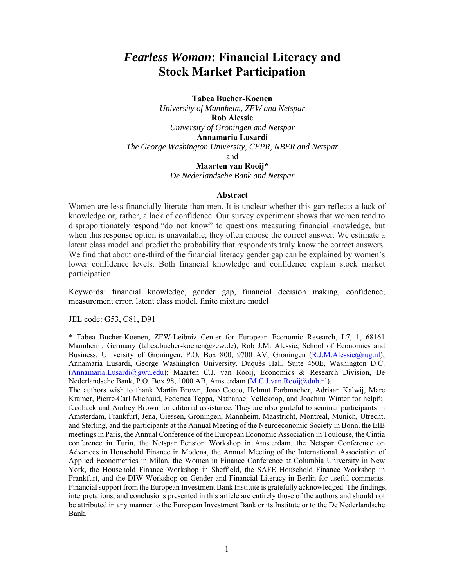# *Fearless Woman***: Financial Literacy and Stock Market Participation**

**Tabea Bucher-Koenen**  *University of Mannheim, ZEW and Netspar*  **Rob Alessie**  *University of Groningen and Netspar*  **Annamaria Lusardi**  *The George Washington University, CEPR, NBER and Netspar*  and

**Maarten van Rooij\*** 

*De Nederlandsche Bank and Netspar* 

#### **Abstract**

Women are less financially literate than men. It is unclear whether this gap reflects a lack of knowledge or, rather, a lack of confidence. Our survey experiment shows that women tend to disproportionately respond "do not know" to questions measuring financial knowledge, but when this response option is unavailable, they often choose the correct answer. We estimate a latent class model and predict the probability that respondents truly know the correct answers. We find that about one-third of the financial literacy gender gap can be explained by women's lower confidence levels. Both financial knowledge and confidence explain stock market participation.

Keywords: financial knowledge, gender gap, financial decision making, confidence, measurement error, latent class model, finite mixture model

JEL code: G53, C81, D91

\* Tabea Bucher-Koenen, ZEW-Leibniz Center for European Economic Research, L7, 1, 68161 Mannheim, Germany (tabea.bucher-koenen@zew.de); Rob J.M. Alessie, School of Economics and Business, University of Groningen, P.O. Box 800, 9700 AV, Groningen (R.J.M.Alessie@rug.nl); Annamaria Lusardi, George Washington University, Duquès Hall, Suite 450E, Washington D.C. (Annamaria.Lusardi@gwu.edu); Maarten C.J. van Rooij, Economics & Research Division, De Nederlandsche Bank, P.O. Box 98, 1000 AB, Amsterdam (M.C.J.van.Rooij@dnb.nl).

The authors wish to thank Martin Brown, Joao Cocco, Helmut Farbmacher, Adriaan Kalwij, Marc Kramer, Pierre-Carl Michaud, Federica Teppa, Nathanael Vellekoop, and Joachim Winter for helpful feedback and Audrey Brown for editorial assistance. They are also grateful to seminar participants in Amsterdam, Frankfurt, Jena, Giessen, Groningen, Mannheim, Maastricht, Montreal, Munich, Utrecht, and Sterling, and the participants at the Annual Meeting of the Neuroeconomic Society in Bonn, the EIB meetings in Paris, the Annual Conference of the European Economic Association in Toulouse, the Cintia conference in Turin, the Netspar Pension Workshop in Amsterdam, the Netspar Conference on Advances in Household Finance in Modena, the Annual Meeting of the International Association of Applied Econometrics in Milan, the Women in Finance Conference at Columbia University in New York, the Household Finance Workshop in Sheffield, the SAFE Household Finance Workshop in Frankfurt, and the DIW Workshop on Gender and Financial Literacy in Berlin for useful comments. Financial support from the European Investment Bank Institute is gratefully acknowledged. The findings, interpretations, and conclusions presented in this article are entirely those of the authors and should not be attributed in any manner to the European Investment Bank or its Institute or to the De Nederlandsche Bank.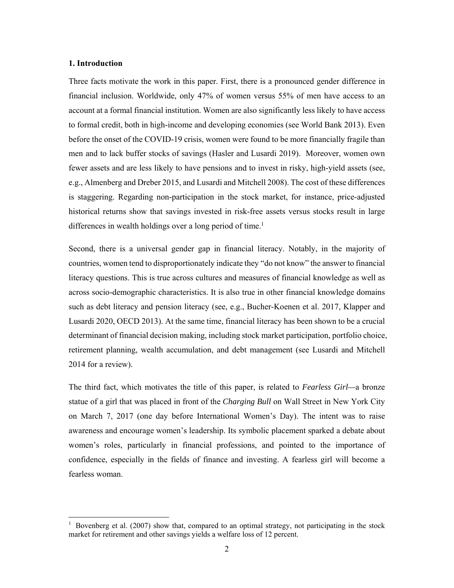#### **1. Introduction**

 $\overline{a}$ 

Three facts motivate the work in this paper. First, there is a pronounced gender difference in financial inclusion. Worldwide, only 47% of women versus 55% of men have access to an account at a formal financial institution. Women are also significantly less likely to have access to formal credit, both in high-income and developing economies (see World Bank 2013). Even before the onset of the COVID-19 crisis, women were found to be more financially fragile than men and to lack buffer stocks of savings (Hasler and Lusardi 2019). Moreover, women own fewer assets and are less likely to have pensions and to invest in risky, high-yield assets (see, e.g., Almenberg and Dreber 2015, and Lusardi and Mitchell 2008). The cost of these differences is staggering. Regarding non-participation in the stock market, for instance, price-adjusted historical returns show that savings invested in risk-free assets versus stocks result in large differences in wealth holdings over a long period of time.<sup>1</sup>

Second, there is a universal gender gap in financial literacy. Notably, in the majority of countries, women tend to disproportionately indicate they "do not know" the answer to financial literacy questions. This is true across cultures and measures of financial knowledge as well as across socio-demographic characteristics. It is also true in other financial knowledge domains such as debt literacy and pension literacy (see, e.g., Bucher-Koenen et al. 2017, Klapper and Lusardi 2020, OECD 2013). At the same time, financial literacy has been shown to be a crucial determinant of financial decision making, including stock market participation, portfolio choice, retirement planning, wealth accumulation, and debt management (see Lusardi and Mitchell 2014 for a review).

The third fact, which motivates the title of this paper, is related to *Fearless Girl—*a bronze statue of a girl that was placed in front of the *Charging Bull* on Wall Street in New York City on March 7, 2017 (one day before International Women's Day). The intent was to raise awareness and encourage women's leadership. Its symbolic placement sparked a debate about women's roles, particularly in financial professions, and pointed to the importance of confidence, especially in the fields of finance and investing. A fearless girl will become a fearless woman.

<sup>1</sup> Bovenberg et al. (2007) show that, compared to an optimal strategy, not participating in the stock market for retirement and other savings yields a welfare loss of 12 percent.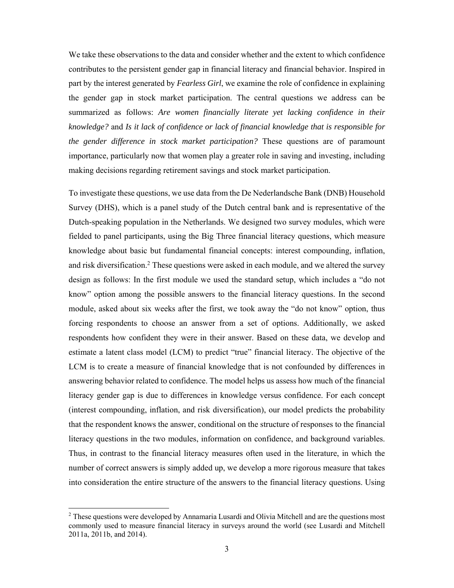We take these observations to the data and consider whether and the extent to which confidence contributes to the persistent gender gap in financial literacy and financial behavior. Inspired in part by the interest generated by *Fearless Girl*, we examine the role of confidence in explaining the gender gap in stock market participation. The central questions we address can be summarized as follows: *Are women financially literate yet lacking confidence in their knowledge?* and *Is it lack of confidence or lack of financial knowledge that is responsible for the gender difference in stock market participation?* These questions are of paramount importance, particularly now that women play a greater role in saving and investing, including making decisions regarding retirement savings and stock market participation.

To investigate these questions, we use data from the De Nederlandsche Bank (DNB) Household Survey (DHS), which is a panel study of the Dutch central bank and is representative of the Dutch-speaking population in the Netherlands. We designed two survey modules, which were fielded to panel participants, using the Big Three financial literacy questions, which measure knowledge about basic but fundamental financial concepts: interest compounding, inflation, and risk diversification.<sup>2</sup> These questions were asked in each module, and we altered the survey design as follows: In the first module we used the standard setup, which includes a "do not know" option among the possible answers to the financial literacy questions. In the second module, asked about six weeks after the first, we took away the "do not know" option, thus forcing respondents to choose an answer from a set of options. Additionally, we asked respondents how confident they were in their answer. Based on these data, we develop and estimate a latent class model (LCM) to predict "true" financial literacy. The objective of the LCM is to create a measure of financial knowledge that is not confounded by differences in answering behavior related to confidence. The model helps us assess how much of the financial literacy gender gap is due to differences in knowledge versus confidence. For each concept (interest compounding, inflation, and risk diversification), our model predicts the probability that the respondent knows the answer, conditional on the structure of responses to the financial literacy questions in the two modules, information on confidence, and background variables. Thus, in contrast to the financial literacy measures often used in the literature, in which the number of correct answers is simply added up, we develop a more rigorous measure that takes into consideration the entire structure of the answers to the financial literacy questions. Using

 $\overline{\phantom{a}}$ 

<sup>&</sup>lt;sup>2</sup> These questions were developed by Annamaria Lusardi and Olivia Mitchell and are the questions most commonly used to measure financial literacy in surveys around the world (see Lusardi and Mitchell 2011a, 2011b, and 2014).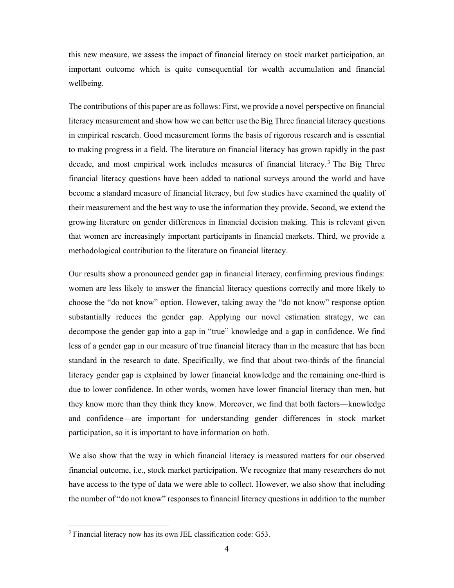this new measure, we assess the impact of financial literacy on stock market participation, an important outcome which is quite consequential for wealth accumulation and financial wellbeing.

The contributions of this paper are as follows: First, we provide a novel perspective on financial literacy measurement and show how we can better use the Big Three financial literacy questions in empirical research. Good measurement forms the basis of rigorous research and is essential to making progress in a field. The literature on financial literacy has grown rapidly in the past decade, and most empirical work includes measures of financial literacy.3 The Big Three financial literacy questions have been added to national surveys around the world and have become a standard measure of financial literacy, but few studies have examined the quality of their measurement and the best way to use the information they provide. Second, we extend the growing literature on gender differences in financial decision making. This is relevant given that women are increasingly important participants in financial markets. Third, we provide a methodological contribution to the literature on financial literacy.

Our results show a pronounced gender gap in financial literacy, confirming previous findings: women are less likely to answer the financial literacy questions correctly and more likely to choose the "do not know" option. However, taking away the "do not know" response option substantially reduces the gender gap. Applying our novel estimation strategy, we can decompose the gender gap into a gap in "true" knowledge and a gap in confidence. We find less of a gender gap in our measure of true financial literacy than in the measure that has been standard in the research to date. Specifically, we find that about two-thirds of the financial literacy gender gap is explained by lower financial knowledge and the remaining one-third is due to lower confidence. In other words, women have lower financial literacy than men, but they know more than they think they know. Moreover, we find that both factors—knowledge and confidence—are important for understanding gender differences in stock market participation, so it is important to have information on both.

We also show that the way in which financial literacy is measured matters for our observed financial outcome, i.e., stock market participation. We recognize that many researchers do not have access to the type of data we were able to collect. However, we also show that including the number of "do not know" responses to financial literacy questions in addition to the number

<sup>&</sup>lt;sup>3</sup> Financial literacy now has its own JEL classification code: G53.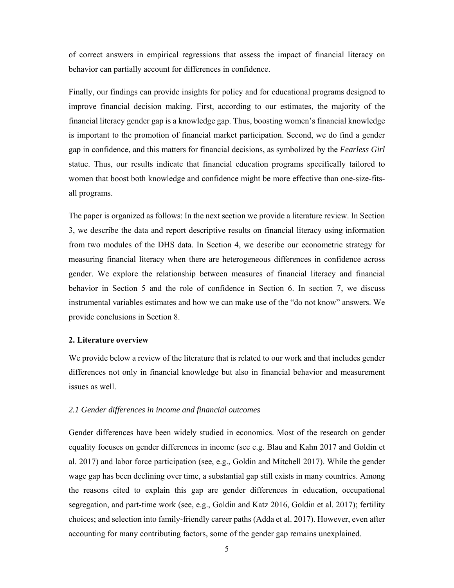of correct answers in empirical regressions that assess the impact of financial literacy on behavior can partially account for differences in confidence.

Finally, our findings can provide insights for policy and for educational programs designed to improve financial decision making. First, according to our estimates, the majority of the financial literacy gender gap is a knowledge gap. Thus, boosting women's financial knowledge is important to the promotion of financial market participation. Second, we do find a gender gap in confidence, and this matters for financial decisions, as symbolized by the *Fearless Girl* statue. Thus, our results indicate that financial education programs specifically tailored to women that boost both knowledge and confidence might be more effective than one-size-fitsall programs.

The paper is organized as follows: In the next section we provide a literature review. In Section 3, we describe the data and report descriptive results on financial literacy using information from two modules of the DHS data. In Section 4, we describe our econometric strategy for measuring financial literacy when there are heterogeneous differences in confidence across gender. We explore the relationship between measures of financial literacy and financial behavior in Section 5 and the role of confidence in Section 6. In section 7, we discuss instrumental variables estimates and how we can make use of the "do not know" answers. We provide conclusions in Section 8.

#### **2. Literature overview**

We provide below a review of the literature that is related to our work and that includes gender differences not only in financial knowledge but also in financial behavior and measurement issues as well.

#### *2.1 Gender differences in income and financial outcomes*

Gender differences have been widely studied in economics. Most of the research on gender equality focuses on gender differences in income (see e.g. Blau and Kahn 2017 and Goldin et al. 2017) and labor force participation (see, e.g., Goldin and Mitchell 2017). While the gender wage gap has been declining over time, a substantial gap still exists in many countries. Among the reasons cited to explain this gap are gender differences in education, occupational segregation, and part-time work (see, e.g., Goldin and Katz 2016, Goldin et al. 2017); fertility choices; and selection into family-friendly career paths (Adda et al. 2017). However, even after accounting for many contributing factors, some of the gender gap remains unexplained.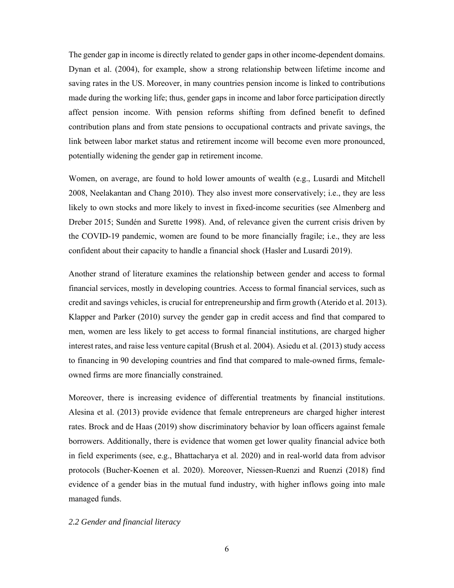The gender gap in income is directly related to gender gaps in other income-dependent domains. Dynan et al. (2004), for example, show a strong relationship between lifetime income and saving rates in the US. Moreover, in many countries pension income is linked to contributions made during the working life; thus, gender gaps in income and labor force participation directly affect pension income. With pension reforms shifting from defined benefit to defined contribution plans and from state pensions to occupational contracts and private savings, the link between labor market status and retirement income will become even more pronounced, potentially widening the gender gap in retirement income.

Women, on average, are found to hold lower amounts of wealth (e.g., Lusardi and Mitchell 2008, Neelakantan and Chang 2010). They also invest more conservatively; i.e., they are less likely to own stocks and more likely to invest in fixed-income securities (see Almenberg and Dreber 2015; Sundén and Surette 1998). And, of relevance given the current crisis driven by the COVID-19 pandemic, women are found to be more financially fragile; i.e., they are less confident about their capacity to handle a financial shock (Hasler and Lusardi 2019).

Another strand of literature examines the relationship between gender and access to formal financial services, mostly in developing countries. Access to formal financial services, such as credit and savings vehicles, is crucial for entrepreneurship and firm growth (Aterido et al. 2013). Klapper and Parker (2010) survey the gender gap in credit access and find that compared to men, women are less likely to get access to formal financial institutions, are charged higher interest rates, and raise less venture capital (Brush et al. 2004). Asiedu et al. (2013) study access to financing in 90 developing countries and find that compared to male-owned firms, femaleowned firms are more financially constrained.

Moreover, there is increasing evidence of differential treatments by financial institutions. Alesina et al. (2013) provide evidence that female entrepreneurs are charged higher interest rates. Brock and de Haas (2019) show discriminatory behavior by loan officers against female borrowers. Additionally, there is evidence that women get lower quality financial advice both in field experiments (see, e.g., Bhattacharya et al. 2020) and in real-world data from advisor protocols (Bucher-Koenen et al. 2020). Moreover, Niessen-Ruenzi and Ruenzi (2018) find evidence of a gender bias in the mutual fund industry, with higher inflows going into male managed funds.

#### *2.2 Gender and financial literacy*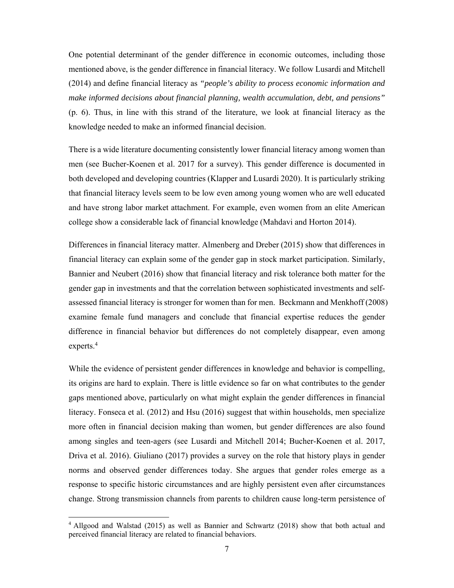One potential determinant of the gender difference in economic outcomes, including those mentioned above, is the gender difference in financial literacy. We follow Lusardi and Mitchell (2014) and define financial literacy as *"people's ability to process economic information and make informed decisions about financial planning, wealth accumulation, debt, and pensions"* (p. 6). Thus, in line with this strand of the literature, we look at financial literacy as the knowledge needed to make an informed financial decision.

There is a wide literature documenting consistently lower financial literacy among women than men (see Bucher-Koenen et al. 2017 for a survey). This gender difference is documented in both developed and developing countries (Klapper and Lusardi 2020). It is particularly striking that financial literacy levels seem to be low even among young women who are well educated and have strong labor market attachment. For example, even women from an elite American college show a considerable lack of financial knowledge (Mahdavi and Horton 2014).

Differences in financial literacy matter. Almenberg and Dreber (2015) show that differences in financial literacy can explain some of the gender gap in stock market participation. Similarly, Bannier and Neubert (2016) show that financial literacy and risk tolerance both matter for the gender gap in investments and that the correlation between sophisticated investments and selfassessed financial literacy is stronger for women than for men. Beckmann and Menkhoff (2008) examine female fund managers and conclude that financial expertise reduces the gender difference in financial behavior but differences do not completely disappear, even among experts.4

While the evidence of persistent gender differences in knowledge and behavior is compelling, its origins are hard to explain. There is little evidence so far on what contributes to the gender gaps mentioned above, particularly on what might explain the gender differences in financial literacy. Fonseca et al. (2012) and Hsu (2016) suggest that within households, men specialize more often in financial decision making than women, but gender differences are also found among singles and teen-agers (see Lusardi and Mitchell 2014; Bucher-Koenen et al. 2017, Driva et al. 2016). Giuliano (2017) provides a survey on the role that history plays in gender norms and observed gender differences today. She argues that gender roles emerge as a response to specific historic circumstances and are highly persistent even after circumstances change. Strong transmission channels from parents to children cause long-term persistence of

 $\overline{a}$ 

<sup>&</sup>lt;sup>4</sup> Allgood and Walstad (2015) as well as Bannier and Schwartz (2018) show that both actual and perceived financial literacy are related to financial behaviors.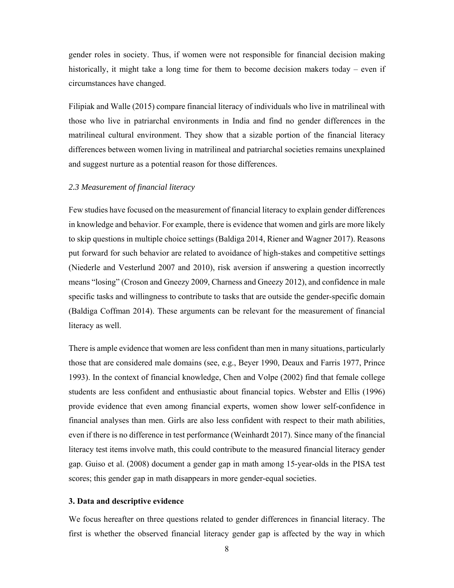gender roles in society. Thus, if women were not responsible for financial decision making historically, it might take a long time for them to become decision makers today – even if circumstances have changed.

Filipiak and Walle (2015) compare financial literacy of individuals who live in matrilineal with those who live in patriarchal environments in India and find no gender differences in the matrilineal cultural environment. They show that a sizable portion of the financial literacy differences between women living in matrilineal and patriarchal societies remains unexplained and suggest nurture as a potential reason for those differences.

#### *2.3 Measurement of financial literacy*

Few studies have focused on the measurement of financial literacy to explain gender differences in knowledge and behavior. For example, there is evidence that women and girls are more likely to skip questions in multiple choice settings (Baldiga 2014, Riener and Wagner 2017). Reasons put forward for such behavior are related to avoidance of high-stakes and competitive settings (Niederle and Vesterlund 2007 and 2010), risk aversion if answering a question incorrectly means "losing" (Croson and Gneezy 2009, Charness and Gneezy 2012), and confidence in male specific tasks and willingness to contribute to tasks that are outside the gender-specific domain (Baldiga Coffman 2014). These arguments can be relevant for the measurement of financial literacy as well.

There is ample evidence that women are less confident than men in many situations, particularly those that are considered male domains (see, e.g., Beyer 1990, Deaux and Farris 1977, Prince 1993). In the context of financial knowledge, Chen and Volpe (2002) find that female college students are less confident and enthusiastic about financial topics. Webster and Ellis (1996) provide evidence that even among financial experts, women show lower self-confidence in financial analyses than men. Girls are also less confident with respect to their math abilities, even if there is no difference in test performance (Weinhardt 2017). Since many of the financial literacy test items involve math, this could contribute to the measured financial literacy gender gap. Guiso et al. (2008) document a gender gap in math among 15-year-olds in the PISA test scores; this gender gap in math disappears in more gender-equal societies.

#### **3. Data and descriptive evidence**

We focus hereafter on three questions related to gender differences in financial literacy. The first is whether the observed financial literacy gender gap is affected by the way in which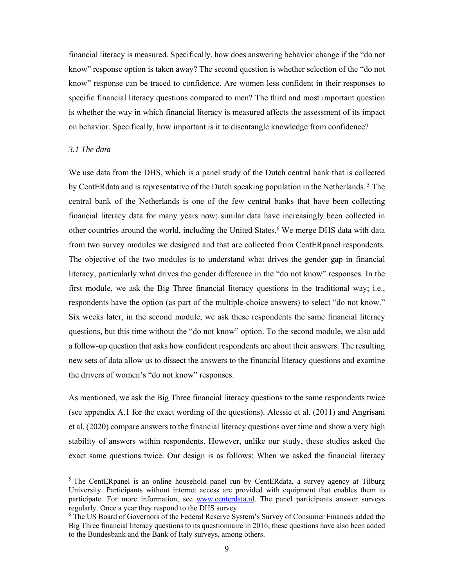financial literacy is measured. Specifically, how does answering behavior change if the "do not know" response option is taken away? The second question is whether selection of the "do not know" response can be traced to confidence. Are women less confident in their responses to specific financial literacy questions compared to men? The third and most important question is whether the way in which financial literacy is measured affects the assessment of its impact on behavior. Specifically, how important is it to disentangle knowledge from confidence?

#### *3.1 The data*

 $\overline{\phantom{a}}$ 

We use data from the DHS, which is a panel study of the Dutch central bank that is collected by CentERdata and is representative of the Dutch speaking population in the Netherlands. 5 The central bank of the Netherlands is one of the few central banks that have been collecting financial literacy data for many years now; similar data have increasingly been collected in other countries around the world, including the United States.6 We merge DHS data with data from two survey modules we designed and that are collected from CentERpanel respondents. The objective of the two modules is to understand what drives the gender gap in financial literacy, particularly what drives the gender difference in the "do not know" responses. In the first module, we ask the Big Three financial literacy questions in the traditional way; i.e., respondents have the option (as part of the multiple-choice answers) to select "do not know." Six weeks later, in the second module, we ask these respondents the same financial literacy questions, but this time without the "do not know" option. To the second module, we also add a follow-up question that asks how confident respondents are about their answers. The resulting new sets of data allow us to dissect the answers to the financial literacy questions and examine the drivers of women's "do not know" responses.

As mentioned, we ask the Big Three financial literacy questions to the same respondents twice (see appendix A.1 for the exact wording of the questions). Alessie et al. (2011) and Angrisani et al. (2020) compare answers to the financial literacy questions over time and show a very high stability of answers within respondents. However, unlike our study, these studies asked the exact same questions twice. Our design is as follows: When we asked the financial literacy

<sup>&</sup>lt;sup>5</sup> The CentERpanel is an online household panel run by CentERdata, a survey agency at Tilburg University. Participants without internet access are provided with equipment that enables them to participate. For more information, see www.centerdata.nl. The panel participants answer surveys regularly. Once a year they respond to the DHS survey.

<sup>&</sup>lt;sup>6</sup> The US Board of Governors of the Federal Reserve System's Survey of Consumer Finances added the Big Three financial literacy questions to its questionnaire in 2016; these questions have also been added to the Bundesbank and the Bank of Italy surveys, among others.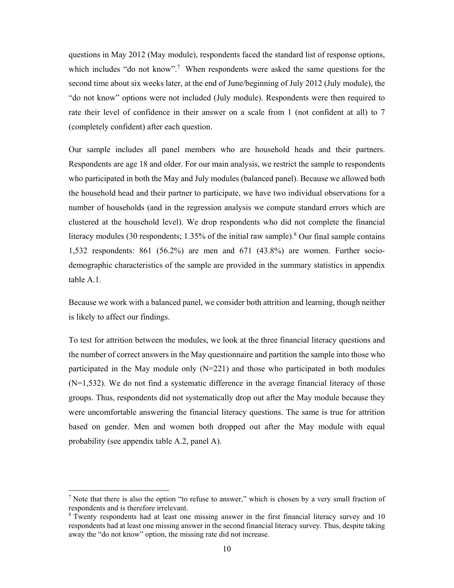questions in May 2012 (May module), respondents faced the standard list of response options, which includes "do not know".<sup>7</sup> When respondents were asked the same questions for the second time about six weeks later, at the end of June/beginning of July 2012 (July module), the "do not know" options were not included (July module). Respondents were then required to rate their level of confidence in their answer on a scale from 1 (not confident at all) to 7 (completely confident) after each question.

Our sample includes all panel members who are household heads and their partners. Respondents are age 18 and older. For our main analysis, we restrict the sample to respondents who participated in both the May and July modules (balanced panel). Because we allowed both the household head and their partner to participate, we have two individual observations for a number of households (and in the regression analysis we compute standard errors which are clustered at the household level). We drop respondents who did not complete the financial literacy modules (30 respondents; 1.35% of the initial raw sample).<sup>8</sup> Our final sample contains 1,532 respondents: 861 (56.2%) are men and 671 (43.8%) are women. Further sociodemographic characteristics of the sample are provided in the summary statistics in appendix table A.1.

Because we work with a balanced panel, we consider both attrition and learning, though neither is likely to affect our findings.

To test for attrition between the modules, we look at the three financial literacy questions and the number of correct answers in the May questionnaire and partition the sample into those who participated in the May module only  $(N=221)$  and those who participated in both modules  $(N=1,532)$ . We do not find a systematic difference in the average financial literacy of those groups. Thus, respondents did not systematically drop out after the May module because they were uncomfortable answering the financial literacy questions. The same is true for attrition based on gender. Men and women both dropped out after the May module with equal probability (see appendix table A.2, panel A).

 $\overline{a}$ 

<sup>&</sup>lt;sup>7</sup> Note that there is also the option "to refuse to answer," which is chosen by a very small fraction of respondents and is therefore irrelevant.

<sup>&</sup>lt;sup>8</sup> Twenty respondents had at least one missing answer in the first financial literacy survey and 10 respondents had at least one missing answer in the second financial literacy survey. Thus, despite taking away the "do not know" option, the missing rate did not increase.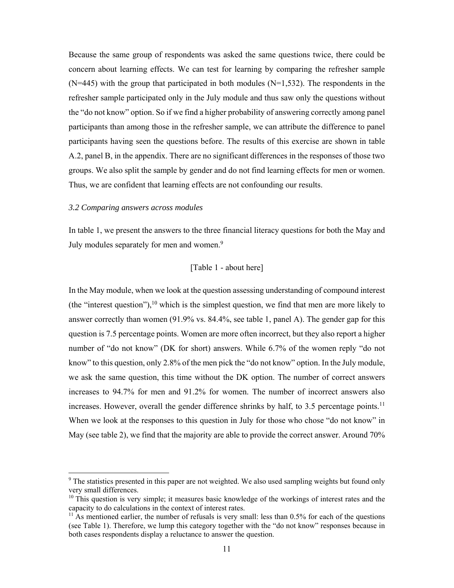Because the same group of respondents was asked the same questions twice, there could be concern about learning effects. We can test for learning by comparing the refresher sample  $(N=445)$  with the group that participated in both modules  $(N=1,532)$ . The respondents in the refresher sample participated only in the July module and thus saw only the questions without the "do not know" option. So if we find a higher probability of answering correctly among panel participants than among those in the refresher sample, we can attribute the difference to panel participants having seen the questions before. The results of this exercise are shown in table A.2, panel B, in the appendix. There are no significant differences in the responses of those two groups. We also split the sample by gender and do not find learning effects for men or women. Thus, we are confident that learning effects are not confounding our results.

#### *3.2 Comparing answers across modules*

 $\overline{\phantom{a}}$ 

In table 1, we present the answers to the three financial literacy questions for both the May and July modules separately for men and women.<sup>9</sup>

#### [Table 1 - about here]

In the May module, when we look at the question assessing understanding of compound interest (the "interest question"), $10$  which is the simplest question, we find that men are more likely to answer correctly than women (91.9% vs. 84.4%, see table 1, panel A). The gender gap for this question is 7.5 percentage points. Women are more often incorrect, but they also report a higher number of "do not know" (DK for short) answers. While 6.7% of the women reply "do not know" to this question, only 2.8% of the men pick the "do not know" option. In the July module, we ask the same question, this time without the DK option. The number of correct answers increases to 94.7% for men and 91.2% for women. The number of incorrect answers also increases. However, overall the gender difference shrinks by half, to 3.5 percentage points.<sup>11</sup> When we look at the responses to this question in July for those who chose "do not know" in May (see table 2), we find that the majority are able to provide the correct answer. Around 70%

<sup>&</sup>lt;sup>9</sup> The statistics presented in this paper are not weighted. We also used sampling weights but found only very small differences.

 $10$  This question is very simple; it measures basic knowledge of the workings of interest rates and the capacity to do calculations in the context of interest rates.

 $11$  As mentioned earlier, the number of refusals is very small: less than 0.5% for each of the questions (see Table 1). Therefore, we lump this category together with the "do not know" responses because in both cases respondents display a reluctance to answer the question.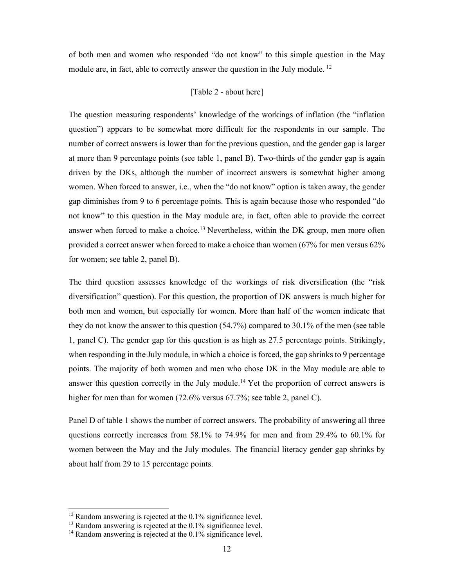of both men and women who responded "do not know" to this simple question in the May module are, in fact, able to correctly answer the question in the July module. <sup>12</sup>

#### [Table 2 - about here]

The question measuring respondents' knowledge of the workings of inflation (the "inflation question") appears to be somewhat more difficult for the respondents in our sample. The number of correct answers is lower than for the previous question, and the gender gap is larger at more than 9 percentage points (see table 1, panel B). Two-thirds of the gender gap is again driven by the DKs, although the number of incorrect answers is somewhat higher among women. When forced to answer, i.e., when the "do not know" option is taken away, the gender gap diminishes from 9 to 6 percentage points. This is again because those who responded "do not know" to this question in the May module are, in fact, often able to provide the correct answer when forced to make a choice.<sup>13</sup> Nevertheless, within the DK group, men more often provided a correct answer when forced to make a choice than women (67% for men versus 62% for women; see table 2, panel B).

The third question assesses knowledge of the workings of risk diversification (the "risk diversification" question). For this question, the proportion of DK answers is much higher for both men and women, but especially for women. More than half of the women indicate that they do not know the answer to this question (54.7%) compared to 30.1% of the men (see table 1, panel C). The gender gap for this question is as high as 27.5 percentage points. Strikingly, when responding in the July module, in which a choice is forced, the gap shrinks to 9 percentage points. The majority of both women and men who chose DK in the May module are able to answer this question correctly in the July module.<sup>14</sup> Yet the proportion of correct answers is higher for men than for women (72.6% versus 67.7%; see table 2, panel C).

Panel D of table 1 shows the number of correct answers. The probability of answering all three questions correctly increases from 58.1% to 74.9% for men and from 29.4% to 60.1% for women between the May and the July modules. The financial literacy gender gap shrinks by about half from 29 to 15 percentage points.

 $\overline{\phantom{a}}$ 

 $12$  Random answering is rejected at the 0.1% significance level.

 $13$  Random answering is rejected at the 0.1% significance level.

<sup>&</sup>lt;sup>14</sup> Random answering is rejected at the 0.1% significance level.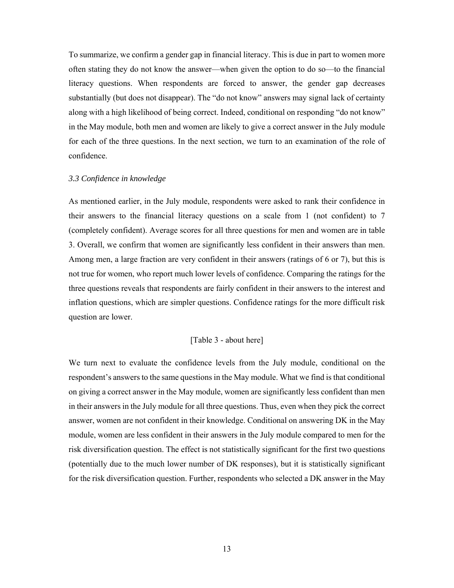To summarize, we confirm a gender gap in financial literacy. This is due in part to women more often stating they do not know the answer—when given the option to do so—to the financial literacy questions. When respondents are forced to answer, the gender gap decreases substantially (but does not disappear). The "do not know" answers may signal lack of certainty along with a high likelihood of being correct. Indeed, conditional on responding "do not know" in the May module, both men and women are likely to give a correct answer in the July module for each of the three questions. In the next section, we turn to an examination of the role of confidence.

#### *3.3 Confidence in knowledge*

As mentioned earlier, in the July module, respondents were asked to rank their confidence in their answers to the financial literacy questions on a scale from 1 (not confident) to 7 (completely confident). Average scores for all three questions for men and women are in table 3. Overall, we confirm that women are significantly less confident in their answers than men. Among men, a large fraction are very confident in their answers (ratings of 6 or 7), but this is not true for women, who report much lower levels of confidence. Comparing the ratings for the three questions reveals that respondents are fairly confident in their answers to the interest and inflation questions, which are simpler questions. Confidence ratings for the more difficult risk question are lower.

#### [Table 3 - about here]

We turn next to evaluate the confidence levels from the July module, conditional on the respondent's answers to the same questions in the May module. What we find is that conditional on giving a correct answer in the May module, women are significantly less confident than men in their answers in the July module for all three questions. Thus, even when they pick the correct answer, women are not confident in their knowledge. Conditional on answering DK in the May module, women are less confident in their answers in the July module compared to men for the risk diversification question. The effect is not statistically significant for the first two questions (potentially due to the much lower number of DK responses), but it is statistically significant for the risk diversification question. Further, respondents who selected a DK answer in the May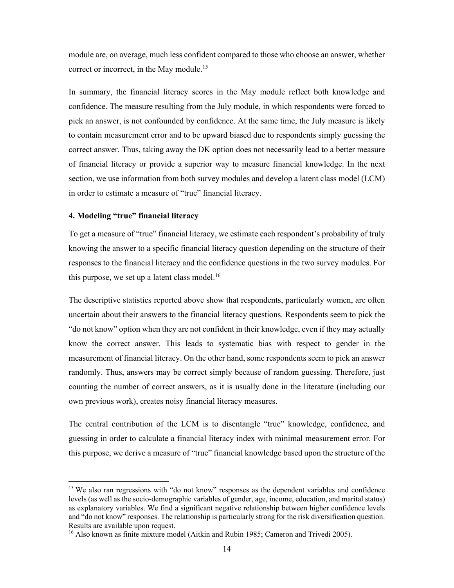module are, on average, much less confident compared to those who choose an answer, whether correct or incorrect, in the May module.<sup>15</sup>

In summary, the financial literacy scores in the May module reflect both knowledge and confidence. The measure resulting from the July module, in which respondents were forced to pick an answer, is not confounded by confidence. At the same time, the July measure is likely to contain measurement error and to be upward biased due to respondents simply guessing the correct answer. Thus, taking away the DK option does not necessarily lead to a better measure of financial literacy or provide a superior way to measure financial knowledge. In the next section, we use information from both survey modules and develop a latent class model (LCM) in order to estimate a measure of "true" financial literacy.

#### **4. Modeling "true" financial literacy**

 $\overline{a}$ 

To get a measure of "true" financial literacy, we estimate each respondent's probability of truly knowing the answer to a specific financial literacy question depending on the structure of their responses to the financial literacy and the confidence questions in the two survey modules. For this purpose, we set up a latent class model. $16$ 

The descriptive statistics reported above show that respondents, particularly women, are often uncertain about their answers to the financial literacy questions. Respondents seem to pick the "do not know" option when they are not confident in their knowledge, even if they may actually know the correct answer. This leads to systematic bias with respect to gender in the measurement of financial literacy. On the other hand, some respondents seem to pick an answer randomly. Thus, answers may be correct simply because of random guessing. Therefore, just counting the number of correct answers, as it is usually done in the literature (including our own previous work), creates noisy financial literacy measures.

The central contribution of the LCM is to disentangle "true" knowledge, confidence, and guessing in order to calculate a financial literacy index with minimal measurement error. For this purpose, we derive a measure of "true" financial knowledge based upon the structure of the

<sup>&</sup>lt;sup>15</sup> We also ran regressions with "do not know" responses as the dependent variables and confidence levels (as well as the socio-demographic variables of gender, age, income, education, and marital status) as explanatory variables. We find a significant negative relationship between higher confidence levels and "do not know" responses. The relationship is particularly strong for the risk diversification question. Results are available upon request.

<sup>&</sup>lt;sup>16</sup> Also known as finite mixture model (Aitkin and Rubin 1985; Cameron and Trivedi 2005).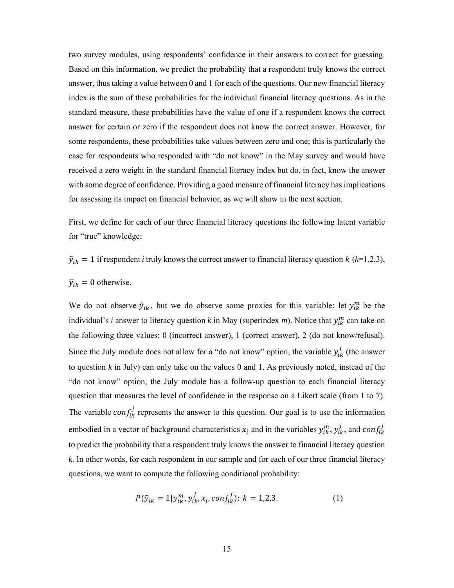two survey modules, using respondents' confidence in their answers to correct for guessing. Based on this information, we predict the probability that a respondent truly knows the correct answer, thus taking a value between 0 and 1 for each of the questions. Our new financial literacy index is the sum of these probabilities for the individual financial literacy questions. As in the standard measure, these probabilities have the value of one if a respondent knows the correct answer for certain or zero if the respondent does not know the correct answer. However, for some respondents, these probabilities take values between zero and one; this is particularly the case for respondents who responded with "do not know" in the May survey and would have received a zero weight in the standard financial literacy index but do, in fact, know the answer with some degree of confidence. Providing a good measure of financial literacy has implications for assessing its impact on financial behavior, as we will show in the next section.

First, we define for each of our three financial literacy questions the following latent variable for "true" knowledge:

 $\tilde{y}_{ik} = 1$  if respondent *i* truly knows the correct answer to financial literacy question  $k$  ( $k=1,2,3$ ),

$$
\tilde{y}_{ik} = 0 \text{ otherwise.}
$$

We do not observe  $\tilde{y}_{ik}$ , but we do observe some proxies for this variable: let  $y_{ik}^{m}$  be the individual's *i* answer to literacy question *k* in May (superindex *m*). Notice that  $y_{ik}^m$  can take on the following three values: 0 (incorrect answer), 1 (correct answer), 2 (do not know/refusal). Since the July module does not allow for a "do not know" option, the variable  $y_{ik}^j$  (the answer to question *k* in July) can only take on the values 0 and 1. As previously noted, instead of the "do not know" option, the July module has a follow-up question to each financial literacy question that measures the level of confidence in the response on a Likert scale (from 1 to 7). The variable  $conf_{ik}^j$  represents the answer to this question. Our goal is to use the information embodied in a vector of background characteristics  $x_i$  and in the variables  $y_{ik}^m$ ,  $y_{ik}^j$ , and  $conf_{ik}^j$ to predict the probability that a respondent truly knows the answer to financial literacy question *k*. In other words, for each respondent in our sample and for each of our three financial literacy questions, we want to compute the following conditional probability:

$$
P(\tilde{y}_{ik} = 1 | y_{ik}^m, y_{ik}^j, x_i, conf_{ik}^j); k = 1,2,3.
$$
 (1)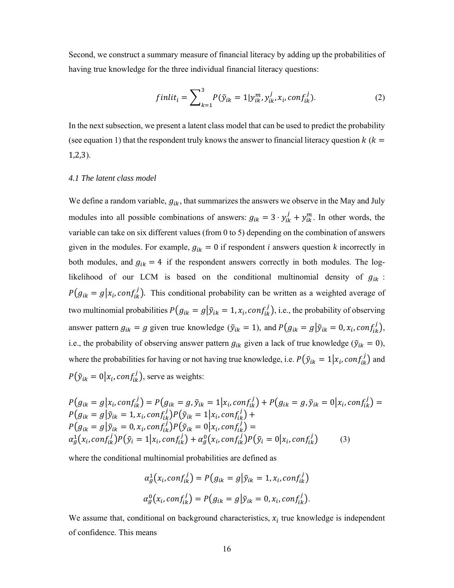Second, we construct a summary measure of financial literacy by adding up the probabilities of having true knowledge for the three individual financial literacy questions:

$$
finlit_i = \sum_{k=1}^{3} P(\tilde{y}_{ik} = 1 | y_{ik}^{m}, y_{ik}^{j}, x_i, conf_{ik}^{j}).
$$
\n(2)

In the next subsection, we present a latent class model that can be used to predict the probability (see equation 1) that the respondent truly knows the answer to financial literacy question  $k$  ( $k =$ 1,2,3).

#### *4.1 The latent class model*

We define a random variable,  $g_{ik}$ , that summarizes the answers we observe in the May and July modules into all possible combinations of answers:  $g_{ik} = 3 \cdot y_{ik}^j + y_{ik}^m$ . In other words, the variable can take on six different values (from 0 to 5) depending on the combination of answers given in the modules. For example,  $g_{ik} = 0$  if respondent *i* answers question *k* incorrectly in both modules, and  $g_{ik} = 4$  if the respondent answers correctly in both modules. The loglikelihood of our LCM is based on the conditional multinomial density of  $g_{ik}$ :  $P(g_{ik} = g | x_i, conf_{ik}^j)$ . This conditional probability can be written as a weighted average of two multinomial probabilities  $P(g_{ik} = g | \tilde{y}_{ik} = 1, x_i, conf_{ik}^j)$ , i.e., the probability of observing answer pattern  $g_{ik} = g$  given true knowledge  $(\tilde{y}_{ik} = 1)$ , and  $P(g_{ik} = g | \tilde{y}_{ik} = 0, x_i, conf_{ik}^j)$ , i.e., the probability of observing answer pattern  $g_{ik}$  given a lack of true knowledge ( $\tilde{y}_{ik} = 0$ ), where the probabilities for having or not having true knowledge, i.e.  $P(\tilde{y}_{ik} = 1 | x_i, conf_{ik}^j)$  and  $P(\tilde{y}_{ik} = 0 | x_i, conf_{ik}^j)$ , serve as weights:

$$
P(g_{ik} = g | x_i, conf_{ik}^j) = P(g_{ik} = g, \tilde{y}_{ik} = 1 | x_i, conf_{ik}^j) + P(g_{ik} = g, \tilde{y}_{ik} = 0 | x_i, conf_{ik}^j) =
$$
  
\n
$$
P(g_{ik} = g | \tilde{y}_{ik} = 1, x_i, conf_{ik}^j) P(\tilde{y}_{ik} = 1 | x_i, conf_{ik}^j) +
$$
  
\n
$$
P(g_{ik} = g | \tilde{y}_{ik} = 0, x_i, conf_{ik}^j) P(\tilde{y}_{ik} = 0 | x_i, conf_{ik}^j) =
$$
  
\n
$$
\alpha_g^1(x_i, conf_{ik}^j) P(\tilde{y}_i = 1 | x_i, conf_{ik}^j) + \alpha_g^0(x_i, conf_{ik}^j) P(\tilde{y}_i = 0 | x_i, conf_{ik}^j)
$$
 (3)

where the conditional multinomial probabilities are defined as

$$
\alpha_g^1(x_i, conf_{ik}^j) = P(g_{ik} = g | \tilde{y}_{ik} = 1, x_i, conf_{ik}^j)
$$
  

$$
\alpha_g^0(x_i, conf_{ik}^j) = P(g_{ik} = g | \tilde{y}_{ik} = 0, x_i, conf_{ik}^j).
$$

We assume that, conditional on background characteristics,  $x_i$  true knowledge is independent of confidence. This means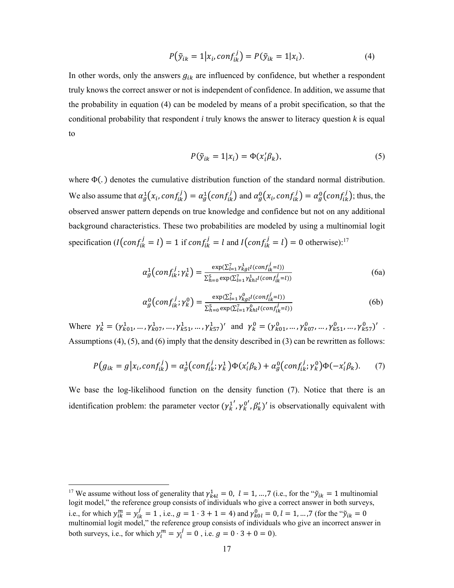$$
P(\tilde{y}_{ik} = 1 | x_i, conf_{ik}^j) = P(\tilde{y}_{ik} = 1 | x_i).
$$
\n(4)

In other words, only the answers  $g_{ik}$  are influenced by confidence, but whether a respondent truly knows the correct answer or not is independent of confidence. In addition, we assume that the probability in equation (4) can be modeled by means of a probit specification, so that the conditional probability that respondent *i* truly knows the answer to literacy question *k* is equal to

$$
P(\tilde{y}_{ik} = 1 | x_i) = \Phi(x'_i \beta_k), \tag{5}
$$

where  $\Phi(.)$  denotes the cumulative distribution function of the standard normal distribution. We also assume that  $\alpha_g^1(x_i, conf_{ik}^j) = \alpha_g^1(conf_{ik}^j)$  and  $\alpha_g^0(x_i, conf_{ik}^j) = \alpha_g^0(conf_{ik}^j)$ ; thus, the observed answer pattern depends on true knowledge and confidence but not on any additional background characteristics. These two probabilities are modeled by using a multinomial logit specification  $(I\left(\text{conf}_{ik}^j = l\right) = 1$  if  $\text{conf}_{ik}^j = l$  and  $I\left(\text{conf}_{ik}^j = l\right) = 0$  otherwise):<sup>17</sup>

$$
\alpha_g^1\left(\text{conf}_{ik}^j; \gamma_k^1\right) = \frac{\exp(\sum_{l=1}^T \gamma_{kgl}^1 I(\text{conf}_{ik}^j = l))}{\sum_{h=0}^5 \exp(\sum_{l=1}^T \gamma_{khl}^1 I(\text{conf}_{ik}^j = l))}
$$
(6a)

$$
\alpha_g^0\left(\text{conf}_{ik}^j; \gamma_k^0\right) = \frac{\exp(\sum_{l=1}^7 \gamma_{kgl}^0 I(\text{conf}_{ik}^j = l))}{\sum_{h=0}^5 \exp(\sum_{l=1}^7 \gamma_{khl}^0 I(\text{conf}_{ik}^j = l))}
$$
(6b)

Where  $\gamma_k^1 = (\gamma_{k01}^1, ..., \gamma_{k07}^1, ..., \gamma_{k51}^1, ..., \gamma_{k57}^1)'$  and  $\gamma_k^0 = (\gamma_{k01}^0, ..., \gamma_{k07}^0, ..., \gamma_{k51}^0, ..., \gamma_{k57}^0)'$ . Assumptions (4), (5), and (6) imply that the density described in (3) can be rewritten as follows:

$$
P(g_{ik} = g | x_i, conf_{ik}^j) = a_g^1 \left( conf_{ik}^j; \gamma_k^1 \right) \Phi(x_i^j \beta_k) + a_g^0 \left( conf_{ik}^j; \gamma_k^0 \right) \Phi(-x_i^j \beta_k). \tag{7}
$$

We base the log-likelihood function on the density function (7). Notice that there is an identification problem: the parameter vector  $(\gamma_k^{1'}, \gamma_k^{0'}, \beta_k')'$  is observationally equivalent with

<sup>&</sup>lt;sup>17</sup> We assume without loss of generality that  $\gamma_{k4l}^1 = 0$ ,  $l = 1, ..., 7$  (i.e., for the " $\tilde{y}_{ik} = 1$  multinomial logit model," the reference group consists of individuals who give a correct answer in both surveys, i.e., for which  $y_{ik}^m = y_{ik}^j = 1$ , i.e.,  $g = 1 \cdot 3 + 1 = 4$ ) and  $\gamma_{k0l}^0 = 0, l = 1, ..., 7$  (for the " $\tilde{y}_{ik} = 0$ multinomial logit model," the reference group consists of individuals who give an incorrect answer in both surveys, i.e., for which  $y_i^m = y_i^j = 0$ , i.e.  $g = 0 \cdot 3 + 0 = 0$ ).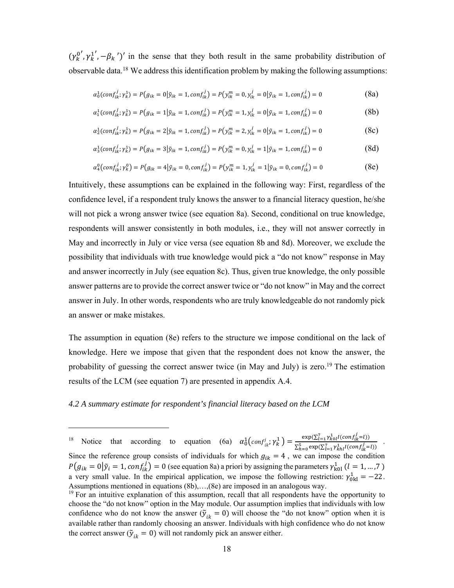$(\gamma_k^{0'}, \gamma_k^{1'}, -\beta_k')'$  in the sense that they both result in the same probability distribution of observable data.18 We address this identification problem by making the following assumptions:

$$
\alpha_0^1(\text{conf}_{ik}^j, \gamma_k^1) = P(g_{ik} = 0 | \tilde{y}_{ik} = 1, \text{conf}_{ik}^j) = P(y_{ik}^m = 0, y_{ik}^j = 0 | \tilde{y}_{ik} = 1, \text{conf}_{ik}^j) = 0 \tag{8a}
$$

$$
\alpha_1^1(\text{conf}_{ik}^j, \gamma_k^1) = P(g_{ik} = 1 | \tilde{y}_{ik} = 1, \text{conf}_{ik}^j) = P(y_{ik}^m = 1, y_{ik}^j = 0 | \tilde{y}_{ik} = 1, \text{conf}_{ik}^j) = 0 \tag{8b}
$$

$$
\alpha_2^1(\text{conf}_{ik}^j, \gamma_k^1) = P(g_{ik} = 2|\tilde{y}_{ik} = 1, \text{conf}_{ik}^j) = P(y_{ik}^m = 2, y_{ik}^j = 0|\tilde{y}_{ik} = 1, \text{conf}_{ik}^j) = 0
$$
\n(8c)

$$
\alpha_3^1(\text{conf}_{ik}^j; \gamma_k^1) = P(g_{ik} = 3 | \tilde{\gamma}_{ik} = 1, \text{conf}_{ik}^j) = P(y_{ik}^m = 0, y_{ik}^j = 1 | \tilde{\gamma}_{ik} = 1, \text{conf}_{ik}^j) = 0 \tag{8d}
$$

$$
\alpha_4^0\big(\text{conf}_{ik}^j; \gamma_k^0\big) = P\big(g_{ik} = 4|\tilde{y}_{ik} = 0, \text{conf}_{ik}^j\big) = P\big(\gamma_{ik}^m = 1, \gamma_{ik}^j = 1|\tilde{y}_{ik} = 0, \text{conf}_{ik}^j\big) = 0
$$
\n(8e)

Intuitively, these assumptions can be explained in the following way: First, regardless of the confidence level, if a respondent truly knows the answer to a financial literacy question, he/she will not pick a wrong answer twice (see equation 8a). Second, conditional on true knowledge, respondents will answer consistently in both modules, i.e., they will not answer correctly in May and incorrectly in July or vice versa (see equation 8b and 8d). Moreover, we exclude the possibility that individuals with true knowledge would pick a "do not know" response in May and answer incorrectly in July (see equation 8c). Thus, given true knowledge, the only possible answer patterns are to provide the correct answer twice or "do not know" in May and the correct answer in July. In other words, respondents who are truly knowledgeable do not randomly pick an answer or make mistakes.

The assumption in equation (8e) refers to the structure we impose conditional on the lack of knowledge. Here we impose that given that the respondent does not know the answer, the probability of guessing the correct answer twice (in May and July) is zero.<sup>19</sup> The estimation results of the LCM (see equation 7) are presented in appendix A.4.

#### *4.2 A summary estimate for respondent's financial literacy based on the LCM*

 $\overline{a}$ 

<sup>&</sup>lt;sup>18</sup> Notice that according to equation (6a)  $\alpha_0^1\left(\text{conf}_{ik}^j; \gamma_k^1\right) = \frac{\exp(\sum_{l=1}^7 \gamma_{k0l}^1 l(\text{conf}_{ik}^j = l))}{\sum_{l=1}^5 \exp(\sum_{l=1}^7 \gamma_{k0l}^1 l(\text{conf}_{il}^j = l))}$  $\sum_{h=0}^{5} \exp(\sum_{l=1}^{7} \gamma_{khl}^1 l(conf_{ik}^j=l))$ . Since the reference group consists of individuals for which  $g_{ik} = 4$ , we can impose the condition  $P(g_{ik} = 0 | \tilde{y}_i = 1, conf_{ik}^j) = 0$  (see equation 8a) a priori by assigning the parameters  $\gamma_{k0l}^1$  ( $l = 1, ..., 7$ ) a very small value. In the empirical application, we impose the following restriction:  $\gamma_{0\text{kl}}^1 = -22$ . Assumptions mentioned in equations (8b),…,(8e) are imposed in an analogous way.

<sup>&</sup>lt;sup>19</sup> For an intuitive explanation of this assumption, recall that all respondents have the opportunity to choose the "do not know" option in the May module. Our assumption implies that individuals with low confidence who do not know the answer  $(\tilde{y}_{ik} = 0)$  will choose the "do not know" option when it is available rather than randomly choosing an answer. Individuals with high confidence who do not know the correct answer ( $\tilde{y}_{ik} = 0$ ) will not randomly pick an answer either.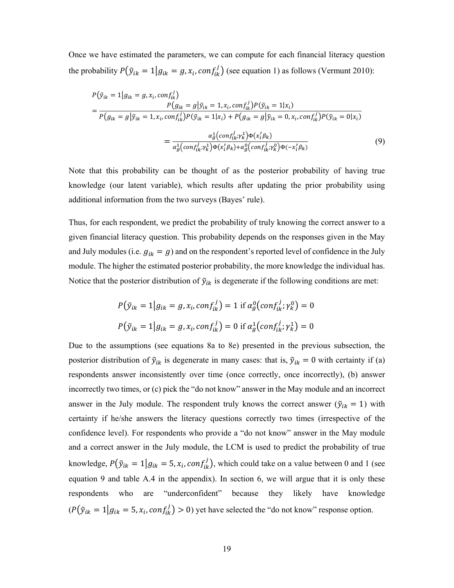Once we have estimated the parameters, we can compute for each financial literacy question the probability  $P(\tilde{y}_{ik} = 1 | g_{ik} = g, x_i, conf_{ik}^j)$  (see equation 1) as follows (Vermunt 2010):

$$
P(\tilde{y}_{ik} = 1 | g_{ik} = g, x_i, conf_{ik}^j)
$$
  
= 
$$
\frac{P(g_{ik} = g | \tilde{y}_{ik} = 1, x_i, conf_{ik}^j) P(\tilde{y}_{ik} = 1 | x_i)}{P(g_{ik} = g | \tilde{y}_{ik} = 1, x_i, conf_{ik}^j) P(\tilde{y}_{ik} = 1 | x_i) + P(g_{ik} = g | \tilde{y}_{ik} = 0, x_i, conf_{ik}^j) P(\tilde{y}_{ik} = 0 | x_i)}
$$
  
= 
$$
\frac{\alpha_{g}^1(conf_{ik}^j; \gamma_{k}^1) \Phi(x_i^I \beta_{k})}{\alpha_{g}^1(conf_{ik}^j; \gamma_{k}^1) \Phi(x_i^I \beta_{k}) + \alpha_{g}^0(conf_{ik}^j; \gamma_{k}^0) \Phi(-x_i^I \beta_{k})}
$$
(9)

Note that this probability can be thought of as the posterior probability of having true knowledge (our latent variable), which results after updating the prior probability using additional information from the two surveys (Bayes' rule).

Thus, for each respondent, we predict the probability of truly knowing the correct answer to a given financial literacy question. This probability depends on the responses given in the May and July modules (i.e.  $g_{ik} = g$ ) and on the respondent's reported level of confidence in the July module. The higher the estimated posterior probability, the more knowledge the individual has. Notice that the posterior distribution of  $\tilde{y}_{ik}$  is degenerate if the following conditions are met:

$$
P(\tilde{y}_{ik} = 1 | g_{ik} = g, x_i, conf_{ik}^j) = 1 \text{ if } \alpha_g^0 (conf_{ik}^j; \gamma_k^0) = 0
$$
  

$$
P(\tilde{y}_{ik} = 1 | g_{ik} = g, x_i, conf_{ik}^j) = 0 \text{ if } \alpha_g^1 (conf_{ik}^j; \gamma_k^1) = 0
$$

Due to the assumptions (see equations 8a to 8e) presented in the previous subsection, the posterior distribution of  $\tilde{y}_{ik}$  is degenerate in many cases: that is,  $\tilde{y}_{ik} = 0$  with certainty if (a) respondents answer inconsistently over time (once correctly, once incorrectly), (b) answer incorrectly two times, or (c) pick the "do not know" answer in the May module and an incorrect answer in the July module. The respondent truly knows the correct answer ( $\tilde{y}_{ik} = 1$ ) with certainty if he/she answers the literacy questions correctly two times (irrespective of the confidence level). For respondents who provide a "do not know" answer in the May module and a correct answer in the July module, the LCM is used to predict the probability of true knowledge,  $P(\tilde{y}_{ik} = 1 | g_{ik} = 5, x_i, conf_{ik}^j)$ , which could take on a value between 0 and 1 (see equation 9 and table A.4 in the appendix). In section 6, we will argue that it is only these respondents who are "underconfident" because they likely have knowledge  $(P(\tilde{y}_{ik} = 1 | g_{ik} = 5, x_i, conf_{ik}^j) > 0)$  yet have selected the "do not know" response option.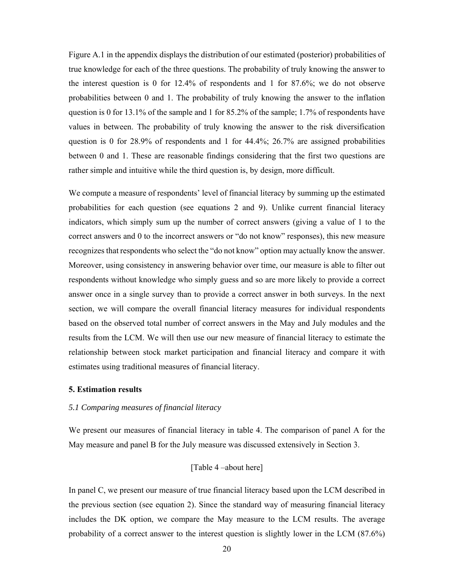Figure A.1 in the appendix displays the distribution of our estimated (posterior) probabilities of true knowledge for each of the three questions. The probability of truly knowing the answer to the interest question is 0 for 12.4% of respondents and 1 for 87.6%; we do not observe probabilities between 0 and 1. The probability of truly knowing the answer to the inflation question is 0 for 13.1% of the sample and 1 for 85.2% of the sample; 1.7% of respondents have values in between. The probability of truly knowing the answer to the risk diversification question is 0 for 28.9% of respondents and 1 for 44.4%; 26.7% are assigned probabilities between 0 and 1. These are reasonable findings considering that the first two questions are rather simple and intuitive while the third question is, by design, more difficult.

We compute a measure of respondents' level of financial literacy by summing up the estimated probabilities for each question (see equations 2 and 9). Unlike current financial literacy indicators, which simply sum up the number of correct answers (giving a value of 1 to the correct answers and 0 to the incorrect answers or "do not know" responses), this new measure recognizes that respondents who select the "do not know" option may actually know the answer. Moreover, using consistency in answering behavior over time, our measure is able to filter out respondents without knowledge who simply guess and so are more likely to provide a correct answer once in a single survey than to provide a correct answer in both surveys. In the next section, we will compare the overall financial literacy measures for individual respondents based on the observed total number of correct answers in the May and July modules and the results from the LCM. We will then use our new measure of financial literacy to estimate the relationship between stock market participation and financial literacy and compare it with estimates using traditional measures of financial literacy.

#### **5. Estimation results**

#### *5.1 Comparing measures of financial literacy*

We present our measures of financial literacy in table 4. The comparison of panel A for the May measure and panel B for the July measure was discussed extensively in Section 3.

#### [Table 4 –about here]

In panel C, we present our measure of true financial literacy based upon the LCM described in the previous section (see equation 2). Since the standard way of measuring financial literacy includes the DK option, we compare the May measure to the LCM results. The average probability of a correct answer to the interest question is slightly lower in the LCM (87.6%)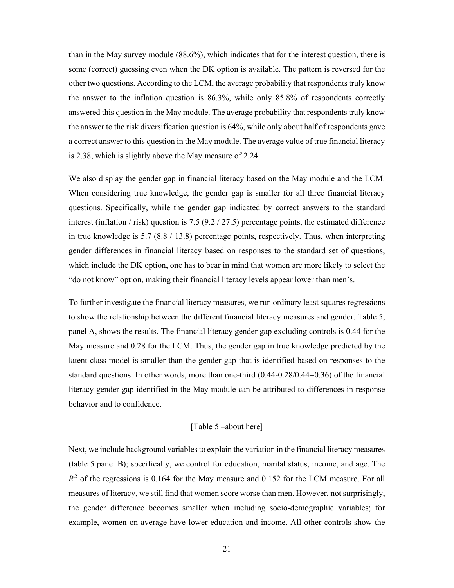than in the May survey module (88.6%), which indicates that for the interest question, there is some (correct) guessing even when the DK option is available. The pattern is reversed for the other two questions. According to the LCM, the average probability that respondents truly know the answer to the inflation question is 86.3%, while only 85.8% of respondents correctly answered this question in the May module. The average probability that respondents truly know the answer to the risk diversification question is 64%, while only about half of respondents gave a correct answer to this question in the May module. The average value of true financial literacy is 2.38, which is slightly above the May measure of 2.24.

We also display the gender gap in financial literacy based on the May module and the LCM. When considering true knowledge, the gender gap is smaller for all three financial literacy questions. Specifically, while the gender gap indicated by correct answers to the standard interest (inflation / risk) question is 7.5 (9.2 / 27.5) percentage points, the estimated difference in true knowledge is 5.7 (8.8 / 13.8) percentage points, respectively. Thus, when interpreting gender differences in financial literacy based on responses to the standard set of questions, which include the DK option, one has to bear in mind that women are more likely to select the "do not know" option, making their financial literacy levels appear lower than men's.

To further investigate the financial literacy measures, we run ordinary least squares regressions to show the relationship between the different financial literacy measures and gender. Table 5, panel A, shows the results. The financial literacy gender gap excluding controls is 0.44 for the May measure and 0.28 for the LCM. Thus, the gender gap in true knowledge predicted by the latent class model is smaller than the gender gap that is identified based on responses to the standard questions. In other words, more than one-third (0.44-0.28/0.44=0.36) of the financial literacy gender gap identified in the May module can be attributed to differences in response behavior and to confidence.

#### [Table 5 –about here]

Next, we include background variables to explain the variation in the financial literacy measures (table 5 panel B); specifically, we control for education, marital status, income, and age. The  $R<sup>2</sup>$  of the regressions is 0.164 for the May measure and 0.152 for the LCM measure. For all measures of literacy, we still find that women score worse than men. However, not surprisingly, the gender difference becomes smaller when including socio-demographic variables; for example, women on average have lower education and income. All other controls show the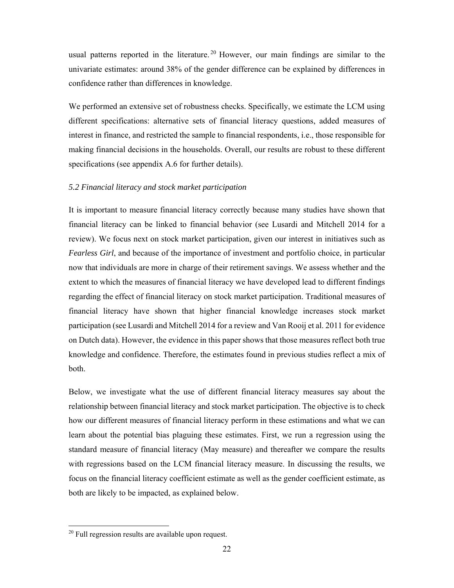usual patterns reported in the literature.<sup>20</sup> However, our main findings are similar to the univariate estimates: around 38% of the gender difference can be explained by differences in confidence rather than differences in knowledge.

We performed an extensive set of robustness checks. Specifically, we estimate the LCM using different specifications: alternative sets of financial literacy questions, added measures of interest in finance, and restricted the sample to financial respondents, i.e., those responsible for making financial decisions in the households. Overall, our results are robust to these different specifications (see appendix A.6 for further details).

#### *5.2 Financial literacy and stock market participation*

It is important to measure financial literacy correctly because many studies have shown that financial literacy can be linked to financial behavior (see Lusardi and Mitchell 2014 for a review). We focus next on stock market participation, given our interest in initiatives such as *Fearless Girl*, and because of the importance of investment and portfolio choice, in particular now that individuals are more in charge of their retirement savings. We assess whether and the extent to which the measures of financial literacy we have developed lead to different findings regarding the effect of financial literacy on stock market participation. Traditional measures of financial literacy have shown that higher financial knowledge increases stock market participation (see Lusardi and Mitchell 2014 for a review and Van Rooij et al. 2011 for evidence on Dutch data). However, the evidence in this paper shows that those measures reflect both true knowledge and confidence. Therefore, the estimates found in previous studies reflect a mix of both.

Below, we investigate what the use of different financial literacy measures say about the relationship between financial literacy and stock market participation. The objective is to check how our different measures of financial literacy perform in these estimations and what we can learn about the potential bias plaguing these estimates. First, we run a regression using the standard measure of financial literacy (May measure) and thereafter we compare the results with regressions based on the LCM financial literacy measure. In discussing the results, we focus on the financial literacy coefficient estimate as well as the gender coefficient estimate, as both are likely to be impacted, as explained below.

 $20$  Full regression results are available upon request.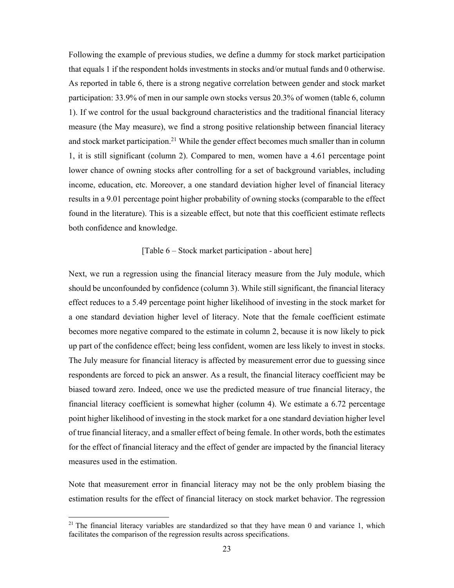Following the example of previous studies, we define a dummy for stock market participation that equals 1 if the respondent holds investments in stocks and/or mutual funds and 0 otherwise. As reported in table 6, there is a strong negative correlation between gender and stock market participation: 33.9% of men in our sample own stocks versus 20.3% of women (table 6, column 1). If we control for the usual background characteristics and the traditional financial literacy measure (the May measure), we find a strong positive relationship between financial literacy and stock market participation.<sup>21</sup> While the gender effect becomes much smaller than in column 1, it is still significant (column 2). Compared to men, women have a 4.61 percentage point lower chance of owning stocks after controlling for a set of background variables, including income, education, etc. Moreover, a one standard deviation higher level of financial literacy results in a 9.01 percentage point higher probability of owning stocks (comparable to the effect found in the literature). This is a sizeable effect, but note that this coefficient estimate reflects both confidence and knowledge.

#### [Table 6 – Stock market participation - about here]

Next, we run a regression using the financial literacy measure from the July module, which should be unconfounded by confidence (column 3). While still significant, the financial literacy effect reduces to a 5.49 percentage point higher likelihood of investing in the stock market for a one standard deviation higher level of literacy. Note that the female coefficient estimate becomes more negative compared to the estimate in column 2, because it is now likely to pick up part of the confidence effect; being less confident, women are less likely to invest in stocks. The July measure for financial literacy is affected by measurement error due to guessing since respondents are forced to pick an answer. As a result, the financial literacy coefficient may be biased toward zero. Indeed, once we use the predicted measure of true financial literacy, the financial literacy coefficient is somewhat higher (column 4). We estimate a 6.72 percentage point higher likelihood of investing in the stock market for a one standard deviation higher level of true financial literacy, and a smaller effect of being female. In other words, both the estimates for the effect of financial literacy and the effect of gender are impacted by the financial literacy measures used in the estimation.

Note that measurement error in financial literacy may not be the only problem biasing the estimation results for the effect of financial literacy on stock market behavior. The regression

 $\overline{a}$ 

<sup>&</sup>lt;sup>21</sup> The financial literacy variables are standardized so that they have mean 0 and variance 1, which facilitates the comparison of the regression results across specifications.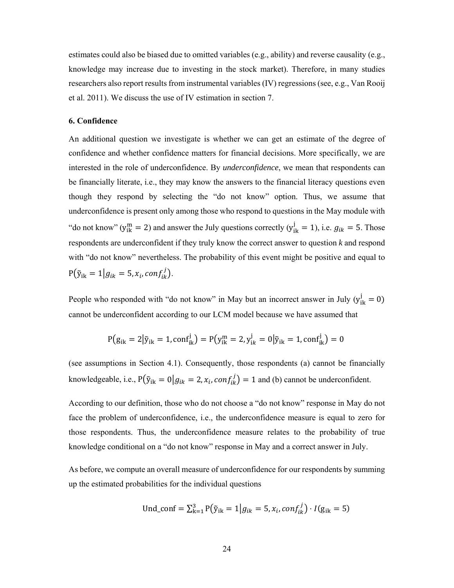estimates could also be biased due to omitted variables (e.g., ability) and reverse causality (e.g., knowledge may increase due to investing in the stock market). Therefore, in many studies researchers also report results from instrumental variables (IV) regressions (see, e.g., Van Rooij et al. 2011). We discuss the use of IV estimation in section 7.

#### **6. Confidence**

An additional question we investigate is whether we can get an estimate of the degree of confidence and whether confidence matters for financial decisions. More specifically, we are interested in the role of underconfidence. By *underconfidence*, we mean that respondents can be financially literate, i.e., they may know the answers to the financial literacy questions even though they respond by selecting the "do not know" option. Thus, we assume that underconfidence is present only among those who respond to questions in the May module with "do not know" ( $y_{ik}^{m} = 2$ ) and answer the July questions correctly ( $y_{ik}^{j} = 1$ ), i.e.  $g_{ik} = 5$ . Those respondents are underconfident if they truly know the correct answer to question *k* and respond with "do not know" nevertheless. The probability of this event might be positive and equal to  $P(\tilde{y}_{ik} = 1 | g_{ik} = 5, x_i, conf_{ik}^j).$ 

People who responded with "do not know" in May but an incorrect answer in July  $(y_{ik}^j = 0)$ cannot be underconfident according to our LCM model because we have assumed that

$$
P(g_{ik} = 2|\tilde{y}_{ik} = 1, conf_{ik}^{j}) = P(y_{ik}^{m} = 2, y_{ik}^{j} = 0|\tilde{y}_{ik} = 1, conf_{ik}^{j}) = 0
$$

(see assumptions in Section 4.1). Consequently, those respondents (a) cannot be financially knowledgeable, i.e.,  $P(\tilde{y}_{ik} = 0 | g_{ik} = 2, x_i, conf_{ik}^j) = 1$  and (b) cannot be underconfident.

According to our definition, those who do not choose a "do not know" response in May do not face the problem of underconfidence, i.e., the underconfidence measure is equal to zero for those respondents. Thus, the underconfidence measure relates to the probability of true knowledge conditional on a "do not know" response in May and a correct answer in July.

As before, we compute an overall measure of underconfidence for our respondents by summing up the estimated probabilities for the individual questions

$$
Und\_conf = \sum_{k=1}^{3} P(\tilde{y}_{ik} = 1 | g_{ik} = 5, x_i, conf_{ik}^j) \cdot I(g_{ik} = 5)
$$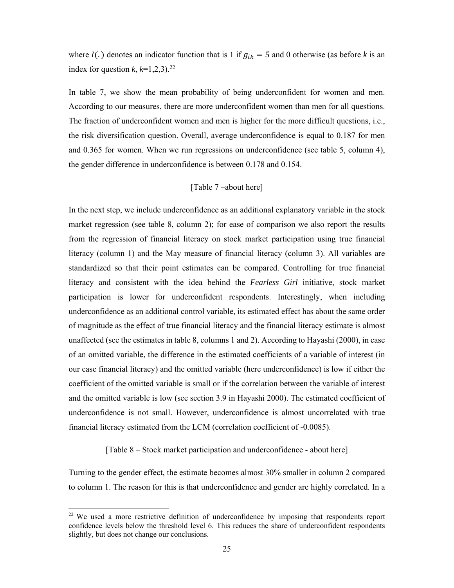where  $I(.)$  denotes an indicator function that is 1 if  $g_{ik} = 5$  and 0 otherwise (as before *k* is an index for question  $k$ ,  $k=1,2,3$ ).<sup>22</sup>

In table 7, we show the mean probability of being underconfident for women and men. According to our measures, there are more underconfident women than men for all questions. The fraction of underconfident women and men is higher for the more difficult questions, i.e., the risk diversification question. Overall, average underconfidence is equal to 0.187 for men and 0.365 for women. When we run regressions on underconfidence (see table 5, column 4), the gender difference in underconfidence is between 0.178 and 0.154.

#### [Table 7 –about here]

In the next step, we include underconfidence as an additional explanatory variable in the stock market regression (see table 8, column 2); for ease of comparison we also report the results from the regression of financial literacy on stock market participation using true financial literacy (column 1) and the May measure of financial literacy (column 3). All variables are standardized so that their point estimates can be compared. Controlling for true financial literacy and consistent with the idea behind the *Fearless Girl* initiative, stock market participation is lower for underconfident respondents. Interestingly, when including underconfidence as an additional control variable, its estimated effect has about the same order of magnitude as the effect of true financial literacy and the financial literacy estimate is almost unaffected (see the estimates in table 8, columns 1 and 2). According to Hayashi (2000), in case of an omitted variable, the difference in the estimated coefficients of a variable of interest (in our case financial literacy) and the omitted variable (here underconfidence) is low if either the coefficient of the omitted variable is small or if the correlation between the variable of interest and the omitted variable is low (see section 3.9 in Hayashi 2000). The estimated coefficient of underconfidence is not small. However, underconfidence is almost uncorrelated with true financial literacy estimated from the LCM (correlation coefficient of -0.0085).

#### [Table 8 – Stock market participation and underconfidence - about here]

Turning to the gender effect, the estimate becomes almost 30% smaller in column 2 compared to column 1. The reason for this is that underconfidence and gender are highly correlated. In a

 $\overline{\phantom{a}}$ 

<sup>&</sup>lt;sup>22</sup> We used a more restrictive definition of underconfidence by imposing that respondents report confidence levels below the threshold level 6. This reduces the share of underconfident respondents slightly, but does not change our conclusions.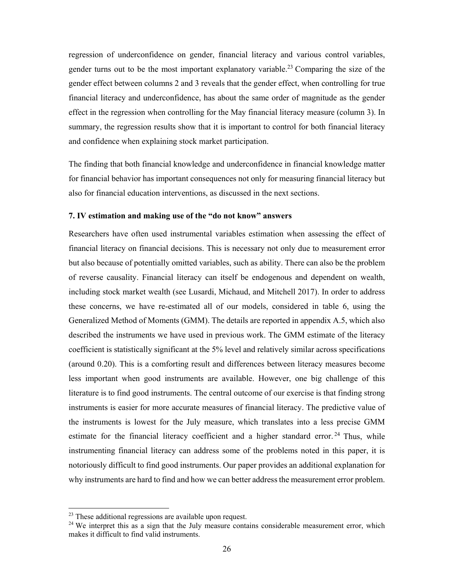regression of underconfidence on gender, financial literacy and various control variables, gender turns out to be the most important explanatory variable.23 Comparing the size of the gender effect between columns 2 and 3 reveals that the gender effect, when controlling for true financial literacy and underconfidence, has about the same order of magnitude as the gender effect in the regression when controlling for the May financial literacy measure (column 3). In summary, the regression results show that it is important to control for both financial literacy and confidence when explaining stock market participation.

The finding that both financial knowledge and underconfidence in financial knowledge matter for financial behavior has important consequences not only for measuring financial literacy but also for financial education interventions, as discussed in the next sections.

#### **7. IV estimation and making use of the "do not know" answers**

Researchers have often used instrumental variables estimation when assessing the effect of financial literacy on financial decisions. This is necessary not only due to measurement error but also because of potentially omitted variables, such as ability. There can also be the problem of reverse causality. Financial literacy can itself be endogenous and dependent on wealth, including stock market wealth (see Lusardi, Michaud, and Mitchell 2017). In order to address these concerns, we have re-estimated all of our models, considered in table 6, using the Generalized Method of Moments (GMM). The details are reported in appendix A.5, which also described the instruments we have used in previous work. The GMM estimate of the literacy coefficient is statistically significant at the 5% level and relatively similar across specifications (around 0.20). This is a comforting result and differences between literacy measures become less important when good instruments are available. However, one big challenge of this literature is to find good instruments. The central outcome of our exercise is that finding strong instruments is easier for more accurate measures of financial literacy. The predictive value of the instruments is lowest for the July measure, which translates into a less precise GMM estimate for the financial literacy coefficient and a higher standard error.<sup>24</sup> Thus, while instrumenting financial literacy can address some of the problems noted in this paper, it is notoriously difficult to find good instruments. Our paper provides an additional explanation for why instruments are hard to find and how we can better address the measurement error problem.

 $\overline{\phantom{a}}$ 

 $23$  These additional regressions are available upon request.

<sup>&</sup>lt;sup>24</sup> We interpret this as a sign that the July measure contains considerable measurement error, which makes it difficult to find valid instruments.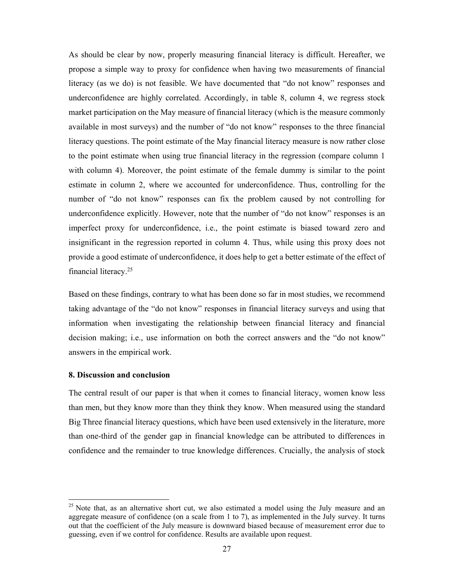As should be clear by now, properly measuring financial literacy is difficult. Hereafter, we propose a simple way to proxy for confidence when having two measurements of financial literacy (as we do) is not feasible. We have documented that "do not know" responses and underconfidence are highly correlated. Accordingly, in table 8, column 4, we regress stock market participation on the May measure of financial literacy (which is the measure commonly available in most surveys) and the number of "do not know" responses to the three financial literacy questions. The point estimate of the May financial literacy measure is now rather close to the point estimate when using true financial literacy in the regression (compare column 1 with column 4). Moreover, the point estimate of the female dummy is similar to the point estimate in column 2, where we accounted for underconfidence. Thus, controlling for the number of "do not know" responses can fix the problem caused by not controlling for underconfidence explicitly. However, note that the number of "do not know" responses is an imperfect proxy for underconfidence, i.e., the point estimate is biased toward zero and insignificant in the regression reported in column 4. Thus, while using this proxy does not provide a good estimate of underconfidence, it does help to get a better estimate of the effect of financial literacy.25

Based on these findings, contrary to what has been done so far in most studies, we recommend taking advantage of the "do not know" responses in financial literacy surveys and using that information when investigating the relationship between financial literacy and financial decision making; i.e., use information on both the correct answers and the "do not know" answers in the empirical work.

#### **8. Discussion and conclusion**

 $\overline{\phantom{a}}$ 

The central result of our paper is that when it comes to financial literacy, women know less than men, but they know more than they think they know. When measured using the standard Big Three financial literacy questions, which have been used extensively in the literature, more than one-third of the gender gap in financial knowledge can be attributed to differences in confidence and the remainder to true knowledge differences. Crucially, the analysis of stock

<sup>&</sup>lt;sup>25</sup> Note that, as an alternative short cut, we also estimated a model using the July measure and an aggregate measure of confidence (on a scale from 1 to 7), as implemented in the July survey. It turns out that the coefficient of the July measure is downward biased because of measurement error due to guessing, even if we control for confidence. Results are available upon request.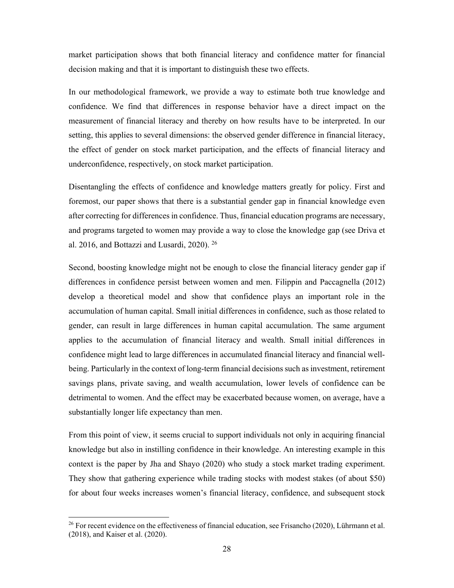market participation shows that both financial literacy and confidence matter for financial decision making and that it is important to distinguish these two effects.

In our methodological framework, we provide a way to estimate both true knowledge and confidence. We find that differences in response behavior have a direct impact on the measurement of financial literacy and thereby on how results have to be interpreted. In our setting, this applies to several dimensions: the observed gender difference in financial literacy, the effect of gender on stock market participation, and the effects of financial literacy and underconfidence, respectively, on stock market participation.

Disentangling the effects of confidence and knowledge matters greatly for policy. First and foremost, our paper shows that there is a substantial gender gap in financial knowledge even after correcting for differences in confidence. Thus, financial education programs are necessary, and programs targeted to women may provide a way to close the knowledge gap (see Driva et al. 2016, and Bottazzi and Lusardi, 2020). 26

Second, boosting knowledge might not be enough to close the financial literacy gender gap if differences in confidence persist between women and men. Filippin and Paccagnella (2012) develop a theoretical model and show that confidence plays an important role in the accumulation of human capital. Small initial differences in confidence, such as those related to gender, can result in large differences in human capital accumulation. The same argument applies to the accumulation of financial literacy and wealth. Small initial differences in confidence might lead to large differences in accumulated financial literacy and financial wellbeing. Particularly in the context of long-term financial decisions such as investment, retirement savings plans, private saving, and wealth accumulation, lower levels of confidence can be detrimental to women. And the effect may be exacerbated because women, on average, have a substantially longer life expectancy than men.

From this point of view, it seems crucial to support individuals not only in acquiring financial knowledge but also in instilling confidence in their knowledge. An interesting example in this context is the paper by Jha and Shayo (2020) who study a stock market trading experiment. They show that gathering experience while trading stocks with modest stakes (of about \$50) for about four weeks increases women's financial literacy, confidence, and subsequent stock

 $\overline{a}$ 

<sup>&</sup>lt;sup>26</sup> For recent evidence on the effectiveness of financial education, see Frisancho (2020), Lührmann et al. (2018), and Kaiser et al. (2020).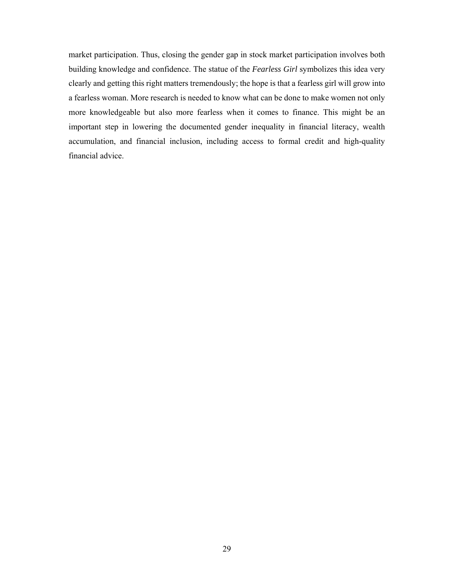market participation. Thus, closing the gender gap in stock market participation involves both building knowledge and confidence. The statue of the *Fearless Girl* symbolizes this idea very clearly and getting this right matters tremendously; the hope is that a fearless girl will grow into a fearless woman. More research is needed to know what can be done to make women not only more knowledgeable but also more fearless when it comes to finance. This might be an important step in lowering the documented gender inequality in financial literacy, wealth accumulation, and financial inclusion, including access to formal credit and high-quality financial advice.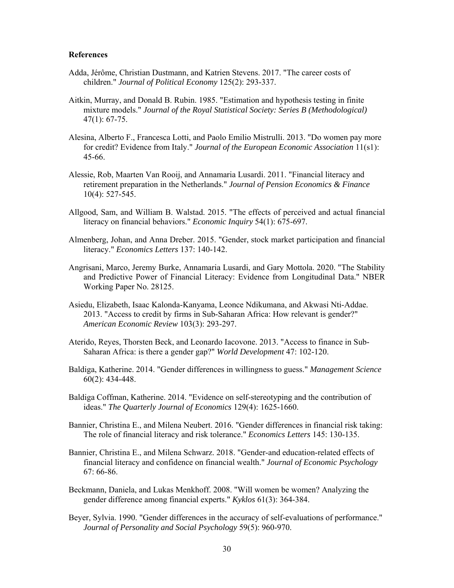#### **References**

- Adda, Jérôme, Christian Dustmann, and Katrien Stevens. 2017. "The career costs of children." *Journal of Political Economy* 125(2): 293-337.
- Aitkin, Murray, and Donald B. Rubin. 1985. "Estimation and hypothesis testing in finite mixture models." *Journal of the Royal Statistical Society: Series B (Methodological)* 47(1): 67-75.
- Alesina, Alberto F., Francesca Lotti, and Paolo Emilio Mistrulli. 2013. "Do women pay more for credit? Evidence from Italy." *Journal of the European Economic Association* 11(s1): 45-66.
- Alessie, Rob, Maarten Van Rooij, and Annamaria Lusardi. 2011. "Financial literacy and retirement preparation in the Netherlands." *Journal of Pension Economics & Finance* 10(4): 527-545.
- Allgood, Sam, and William B. Walstad. 2015. "The effects of perceived and actual financial literacy on financial behaviors." *Economic Inquiry* 54(1): 675-697.
- Almenberg, Johan, and Anna Dreber. 2015. "Gender, stock market participation and financial literacy." *Economics Letters* 137: 140-142.
- Angrisani, Marco, Jeremy Burke, Annamaria Lusardi, and Gary Mottola. 2020. "The Stability and Predictive Power of Financial Literacy: Evidence from Longitudinal Data." NBER Working Paper No. 28125.
- Asiedu, Elizabeth, Isaac Kalonda-Kanyama, Leonce Ndikumana, and Akwasi Nti-Addae. 2013. "Access to credit by firms in Sub-Saharan Africa: How relevant is gender?" *American Economic Review* 103(3): 293-297.
- Aterido, Reyes, Thorsten Beck, and Leonardo Iacovone. 2013. "Access to finance in Sub-Saharan Africa: is there a gender gap?" *World Development* 47: 102-120.
- Baldiga, Katherine. 2014. "Gender differences in willingness to guess." *Management Science* 60(2): 434-448.
- Baldiga Coffman, Katherine. 2014. "Evidence on self-stereotyping and the contribution of ideas." *The Quarterly Journal of Economics* 129(4): 1625-1660.
- Bannier, Christina E., and Milena Neubert. 2016. "Gender differences in financial risk taking: The role of financial literacy and risk tolerance." *Economics Letters* 145: 130-135.
- Bannier, Christina E., and Milena Schwarz. 2018. "Gender-and education-related effects of financial literacy and confidence on financial wealth." *Journal of Economic Psychology* 67: 66-86.
- Beckmann, Daniela, and Lukas Menkhoff. 2008. "Will women be women? Analyzing the gender difference among financial experts." *Kyklos* 61(3): 364-384.
- Beyer, Sylvia. 1990. "Gender differences in the accuracy of self-evaluations of performance." *Journal of Personality and Social Psychology* 59(5): 960-970.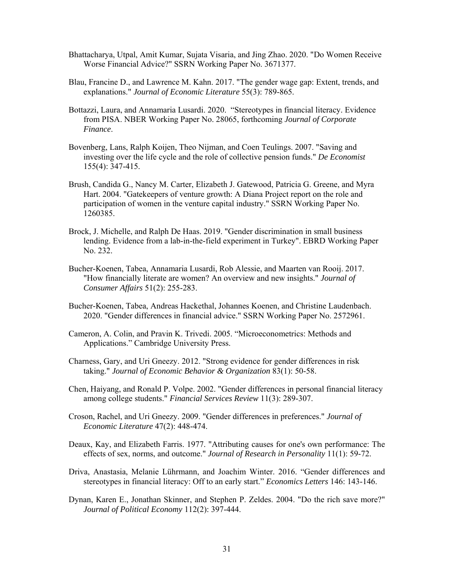- Bhattacharya, Utpal, Amit Kumar, Sujata Visaria, and Jing Zhao. 2020. "Do Women Receive Worse Financial Advice?" SSRN Working Paper No. 3671377.
- Blau, Francine D., and Lawrence M. Kahn. 2017. "The gender wage gap: Extent, trends, and explanations." *Journal of Economic Literature* 55(3): 789-865.
- Bottazzi, Laura, and Annamaria Lusardi. 2020. "Stereotypes in financial literacy. Evidence from PISA. NBER Working Paper No. 28065, forthcoming *Journal of Corporate Finance*.
- Bovenberg, Lans, Ralph Koijen, Theo Nijman, and Coen Teulings. 2007. "Saving and investing over the life cycle and the role of collective pension funds." *De Economist* 155(4): 347-415.
- Brush, Candida G., Nancy M. Carter, Elizabeth J. Gatewood, Patricia G. Greene, and Myra Hart. 2004. "Gatekeepers of venture growth: A Diana Project report on the role and participation of women in the venture capital industry." SSRN Working Paper No. 1260385.
- Brock, J. Michelle, and Ralph De Haas. 2019. "Gender discrimination in small business lending. Evidence from a lab-in-the-field experiment in Turkey". EBRD Working Paper No. 232.
- Bucher-Koenen, Tabea, Annamaria Lusardi, Rob Alessie, and Maarten van Rooij. 2017. "How financially literate are women? An overview and new insights." *Journal of Consumer Affairs* 51(2): 255-283.
- Bucher-Koenen, Tabea, Andreas Hackethal, Johannes Koenen, and Christine Laudenbach. 2020. "Gender differences in financial advice." SSRN Working Paper No. 2572961.
- Cameron, A. Colin, and Pravin K. Trivedi. 2005. "Microeconometrics: Methods and Applications." Cambridge University Press.
- Charness, Gary, and Uri Gneezy. 2012. "Strong evidence for gender differences in risk taking." *Journal of Economic Behavior & Organization* 83(1): 50-58.
- Chen, Haiyang, and Ronald P. Volpe. 2002. "Gender differences in personal financial literacy among college students." *Financial Services Review* 11(3): 289-307.
- Croson, Rachel, and Uri Gneezy. 2009. "Gender differences in preferences." *Journal of Economic Literature* 47(2): 448-474.
- Deaux, Kay, and Elizabeth Farris. 1977. "Attributing causes for one's own performance: The effects of sex, norms, and outcome." *Journal of Research in Personality* 11(1): 59-72.
- Driva, Anastasia, Melanie Lührmann, and Joachim Winter. 2016. "Gender differences and stereotypes in financial literacy: Off to an early start." *Economics Letters* 146: 143-146.
- Dynan, Karen E., Jonathan Skinner, and Stephen P. Zeldes. 2004. "Do the rich save more?" *Journal of Political Economy* 112(2): 397-444.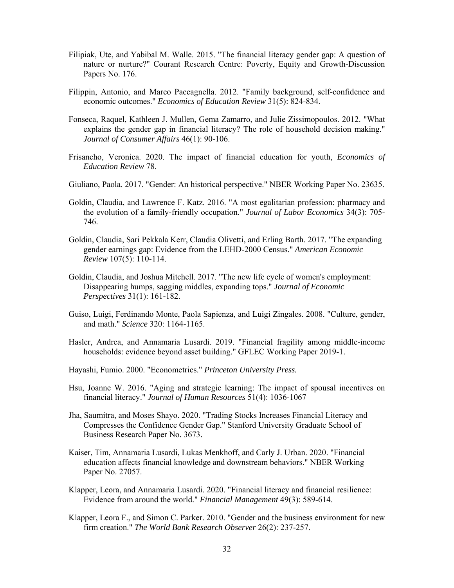- Filipiak, Ute, and Yabibal M. Walle. 2015. "The financial literacy gender gap: A question of nature or nurture?" Courant Research Centre: Poverty, Equity and Growth-Discussion Papers No. 176.
- Filippin, Antonio, and Marco Paccagnella. 2012. "Family background, self-confidence and economic outcomes." *Economics of Education Review* 31(5): 824-834.
- Fonseca, Raquel, Kathleen J. Mullen, Gema Zamarro, and Julie Zissimopoulos. 2012. "What explains the gender gap in financial literacy? The role of household decision making." *Journal of Consumer Affairs* 46(1): 90-106.
- Frisancho, Veronica. 2020. The impact of financial education for youth, *Economics of Education Review* 78.
- Giuliano, Paola. 2017. "Gender: An historical perspective." NBER Working Paper No. 23635.
- Goldin, Claudia, and Lawrence F. Katz. 2016. "A most egalitarian profession: pharmacy and the evolution of a family-friendly occupation." *Journal of Labor Economics* 34(3): 705- 746.
- Goldin, Claudia, Sari Pekkala Kerr, Claudia Olivetti, and Erling Barth. 2017. "The expanding gender earnings gap: Evidence from the LEHD-2000 Census." *American Economic Review* 107(5): 110-114.
- Goldin, Claudia, and Joshua Mitchell. 2017. "The new life cycle of women's employment: Disappearing humps, sagging middles, expanding tops." *Journal of Economic Perspectives* 31(1): 161-182.
- Guiso, Luigi, Ferdinando Monte, Paola Sapienza, and Luigi Zingales. 2008. "Culture, gender, and math." *Science* 320: 1164-1165.
- Hasler, Andrea, and Annamaria Lusardi. 2019. "Financial fragility among middle-income households: evidence beyond asset building." GFLEC Working Paper 2019-1.
- Hayashi, Fumio. 2000. "Econometrics." *Princeton University Press.*
- Hsu, Joanne W. 2016. "Aging and strategic learning: The impact of spousal incentives on financial literacy." *Journal of Human Resources* 51(4): 1036-1067
- Jha, Saumitra, and Moses Shayo. 2020. "Trading Stocks Increases Financial Literacy and Compresses the Confidence Gender Gap." Stanford University Graduate School of Business Research Paper No. 3673.
- Kaiser, Tim, Annamaria Lusardi, Lukas Menkhoff, and Carly J. Urban. 2020. "Financial education affects financial knowledge and downstream behaviors." NBER Working Paper No. 27057.
- Klapper, Leora, and Annamaria Lusardi. 2020. "Financial literacy and financial resilience: Evidence from around the world." *Financial Management* 49(3): 589-614.
- Klapper, Leora F., and Simon C. Parker. 2010. "Gender and the business environment for new firm creation." *The World Bank Research Observer* 26(2): 237-257.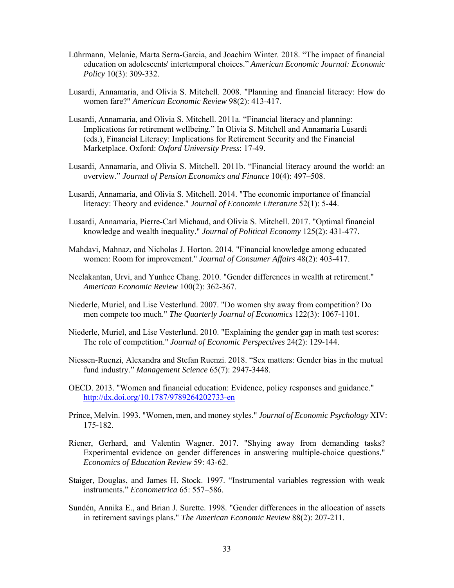- Lührmann, Melanie, Marta Serra-Garcia, and Joachim Winter. 2018. "The impact of financial education on adolescents' intertemporal choices." *American Economic Journal: Economic Policy* 10(3): 309-332.
- Lusardi, Annamaria, and Olivia S. Mitchell. 2008. "Planning and financial literacy: How do women fare?" *American Economic Review* 98(2): 413-417.
- Lusardi, Annamaria, and Olivia S. Mitchell. 2011a. "Financial literacy and planning: Implications for retirement wellbeing." In Olivia S. Mitchell and Annamaria Lusardi (eds.), Financial Literacy: Implications for Retirement Security and the Financial Marketplace. Oxford: *Oxford University Press*: 17-49.
- Lusardi, Annamaria, and Olivia S. Mitchell. 2011b. "Financial literacy around the world: an overview." *Journal of Pension Economics and Finance* 10(4): 497–508.
- Lusardi, Annamaria, and Olivia S. Mitchell. 2014. "The economic importance of financial literacy: Theory and evidence." *Journal of Economic Literature* 52(1): 5-44.
- Lusardi, Annamaria, Pierre-Carl Michaud, and Olivia S. Mitchell. 2017. "Optimal financial knowledge and wealth inequality." *Journal of Political Economy* 125(2): 431-477.
- Mahdavi, Mahnaz, and Nicholas J. Horton. 2014. "Financial knowledge among educated women: Room for improvement." *Journal of Consumer Affairs* 48(2): 403-417.
- Neelakantan, Urvi, and Yunhee Chang. 2010. "Gender differences in wealth at retirement." *American Economic Review* 100(2): 362-367.
- Niederle, Muriel, and Lise Vesterlund. 2007. "Do women shy away from competition? Do men compete too much." *The Quarterly Journal of Economics* 122(3): 1067-1101.
- Niederle, Muriel, and Lise Vesterlund. 2010. "Explaining the gender gap in math test scores: The role of competition." *Journal of Economic Perspectives* 24(2): 129-144.
- Niessen-Ruenzi, Alexandra and Stefan Ruenzi. 2018. "Sex matters: Gender bias in the mutual fund industry." *Management Science* 65(7): 2947-3448.
- OECD. 2013. "Women and financial education: Evidence, policy responses and guidance." http://dx.doi.org/10.1787/9789264202733-en
- Prince, Melvin. 1993. "Women, men, and money styles." *Journal of Economic Psychology* XIV: 175-182.
- Riener, Gerhard, and Valentin Wagner. 2017. "Shying away from demanding tasks? Experimental evidence on gender differences in answering multiple-choice questions." *Economics of Education Review* 59: 43-62.
- Staiger, Douglas, and James H. Stock. 1997. "Instrumental variables regression with weak instruments." *Econometrica* 65: 557–586.
- Sundén, Annika E., and Brian J. Surette. 1998. "Gender differences in the allocation of assets in retirement savings plans." *The American Economic Review* 88(2): 207-211.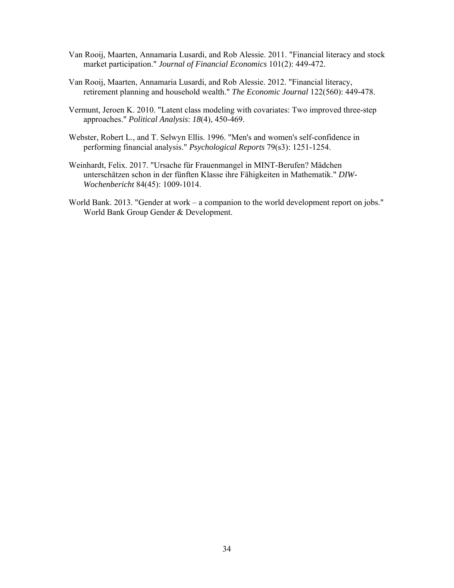- Van Rooij, Maarten, Annamaria Lusardi, and Rob Alessie. 2011. "Financial literacy and stock market participation." *Journal of Financial Economics* 101(2): 449-472.
- Van Rooij, Maarten, Annamaria Lusardi, and Rob Alessie. 2012. "Financial literacy, retirement planning and household wealth." *The Economic Journal* 122(560): 449-478.
- Vermunt, Jeroen K. 2010. "Latent class modeling with covariates: Two improved three-step approaches." *Political Analysis*: *18*(4), 450-469.
- Webster, Robert L., and T. Selwyn Ellis. 1996. "Men's and women's self-confidence in performing financial analysis." *Psychological Reports* 79(s3): 1251-1254.
- Weinhardt, Felix. 2017. "Ursache für Frauenmangel in MINT-Berufen? Mädchen unterschätzen schon in der fünften Klasse ihre Fähigkeiten in Mathematik." *DIW-Wochenbericht* 84(45): 1009-1014.
- World Bank. 2013. "Gender at work a companion to the world development report on jobs." World Bank Group Gender & Development.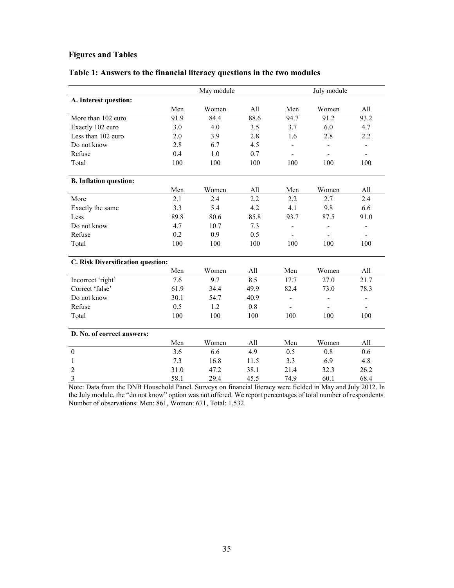# **Figures and Tables**

|  | Table 1: Answers to the financial literacy questions in the two modules |  |  |  |  |  |  |  |
|--|-------------------------------------------------------------------------|--|--|--|--|--|--|--|
|  |                                                                         |  |  |  |  |  |  |  |

|                                   |      | May module |      |                          | July module |                          |
|-----------------------------------|------|------------|------|--------------------------|-------------|--------------------------|
| A. Interest question:             |      |            |      |                          |             |                          |
|                                   | Men  | Women      | All  | Men                      | Women       | All                      |
| More than 102 euro                | 91.9 | 84.4       | 88.6 | 94.7                     | 91.2        | 93.2                     |
| Exactly 102 euro                  | 3.0  | 4.0        | 3.5  | 3.7                      | 6.0         | 4.7                      |
| Less than 102 euro                | 2.0  | 3.9        | 2.8  | 1.6                      | 2.8         | 2.2                      |
| Do not know                       | 2.8  | 6.7        | 4.5  |                          |             |                          |
| Refuse                            | 0.4  | 1.0        | 0.7  | $\overline{\phantom{a}}$ |             | $\overline{\phantom{a}}$ |
| Total                             | 100  | 100        | 100  | 100                      | 100         | 100                      |
| <b>B.</b> Inflation question:     |      |            |      |                          |             |                          |
|                                   | Men  | Women      | All  | Men                      | Women       | All                      |
| More                              | 2.1  | 2.4        | 2.2  | 2.2                      | 2.7         | 2.4                      |
| Exactly the same                  | 3.3  | 5.4        | 4.2  | 4.1                      | 9.8         | 6.6                      |
| Less                              | 89.8 | 80.6       | 85.8 | 93.7                     | 87.5        | 91.0                     |
| Do not know                       | 4.7  | 10.7       | 7.3  | $\overline{\phantom{a}}$ | ÷,          | $\overline{\phantom{a}}$ |
| Refuse                            | 0.2  | 0.9        | 0.5  |                          |             | $\overline{\phantom{a}}$ |
| Total                             | 100  | 100        | 100  | 100                      | 100         | 100                      |
| C. Risk Diversification question: |      |            |      |                          |             |                          |
|                                   | Men  | Women      | All  | Men                      | Women       | All                      |
| Incorrect 'right'                 | 7.6  | 9.7        | 8.5  | 17.7                     | 27.0        | 21.7                     |
| Correct 'false'                   | 61.9 | 34.4       | 49.9 | 82.4                     | 73.0        | 78.3                     |
| Do not know                       | 30.1 | 54.7       | 40.9 | $\blacksquare$           | ÷,          | $\overline{\phantom{a}}$ |
| Refuse                            | 0.5  | 1.2        | 0.8  |                          |             | $\blacksquare$           |
| Total                             | 100  | 100        | 100  | 100                      | 100         | 100                      |
| D. No. of correct answers:        |      |            |      |                          |             |                          |
|                                   | Men  | Women      | All  | Men                      | Women       | All                      |
| $\boldsymbol{0}$                  | 3.6  | 6.6        | 4.9  | 0.5                      | 0.8         | 0.6                      |
| 1                                 | 7.3  | 16.8       | 11.5 | 3.3                      | 6.9         | 4.8                      |
| $\overline{c}$                    | 31.0 | 47.2       | 38.1 | 21.4                     | 32.3        | 26.2                     |
| 3                                 | 58.1 | 29.4       | 45.5 | 74.9                     | 60.1        | 68.4                     |

Note: Data from the DNB Household Panel. Surveys on financial literacy were fielded in May and July 2012. In the July module, the "do not know" option was not offered. We report percentages of total number of respondents. Number of observations: Men: 861, Women: 671, Total: 1,532.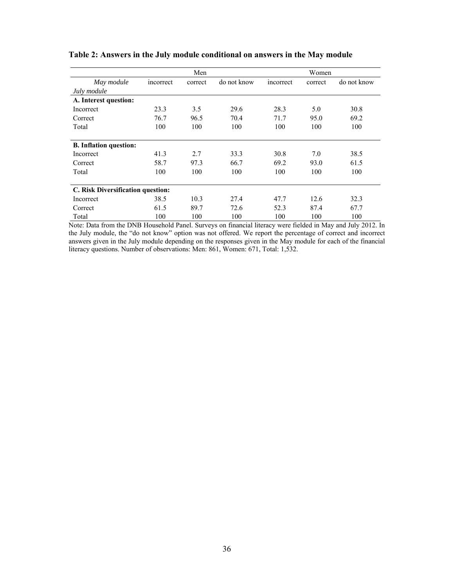|                                   |           | Men     |             | Women     |         |             |  |  |
|-----------------------------------|-----------|---------|-------------|-----------|---------|-------------|--|--|
| May module                        | incorrect | correct | do not know | incorrect | correct | do not know |  |  |
| July module                       |           |         |             |           |         |             |  |  |
| A. Interest question:             |           |         |             |           |         |             |  |  |
| Incorrect                         | 23.3      | 3.5     | 29.6        | 28.3      | 5.0     | 30.8        |  |  |
| Correct                           | 76.7      | 96.5    | 70.4        | 71.7      | 95.0    | 69.2        |  |  |
| Total                             | 100       | 100     | 100         | 100       | 100     | 100         |  |  |
|                                   |           |         |             |           |         |             |  |  |
| <b>B.</b> Inflation question:     |           |         |             |           |         |             |  |  |
| Incorrect                         | 41.3      | 2.7     | 33.3        | 30.8      | 7.0     | 38.5        |  |  |
| Correct                           | 58.7      | 97.3    | 66.7        | 69.2      | 93.0    | 61.5        |  |  |
| Total                             | 100       | 100     | 100         | 100       | 100     | 100         |  |  |
|                                   |           |         |             |           |         |             |  |  |
| C. Risk Diversification question: |           |         |             |           |         |             |  |  |
| Incorrect                         | 38.5      | 10.3    | 27.4        | 47.7      | 12.6    | 32.3        |  |  |
| Correct                           | 61.5      | 89.7    | 72.6        | 52.3      | 87.4    | 67.7        |  |  |
| Total                             | 100       | 100     | 100         | 100       | 100     | 100         |  |  |

## **Table 2: Answers in the July module conditional on answers in the May module**

Note: Data from the DNB Household Panel. Surveys on financial literacy were fielded in May and July 2012. In the July module, the "do not know" option was not offered. We report the percentage of correct and incorrect answers given in the July module depending on the responses given in the May module for each of the financial literacy questions. Number of observations: Men: 861, Women: 671, Total: 1,532.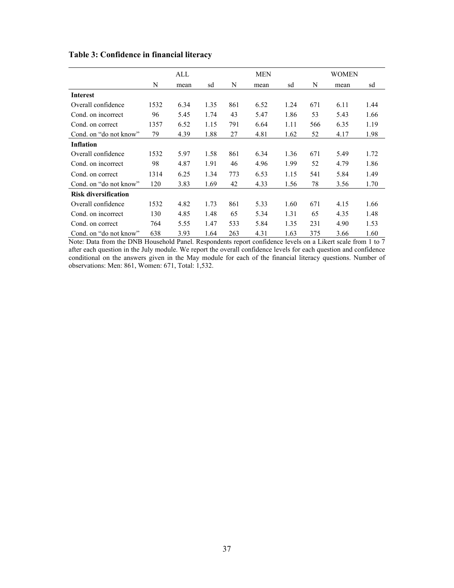|                             |      | ALL  |      |     | <b>MEN</b> |      |     | <b>WOMEN</b> |      |  |
|-----------------------------|------|------|------|-----|------------|------|-----|--------------|------|--|
|                             | N    | mean | sd   | N   | mean       | sd   | N   | mean         | sd   |  |
| <b>Interest</b>             |      |      |      |     |            |      |     |              |      |  |
| Overall confidence          | 1532 | 6.34 | 1.35 | 861 | 6.52       | 1.24 | 671 | 6.11         | 1.44 |  |
| Cond. on incorrect          | 96   | 5.45 | 1.74 | 43  | 5.47       | 1.86 | 53  | 5.43         | 1.66 |  |
| Cond. on correct            | 1357 | 6.52 | 1.15 | 791 | 6.64       | 1.11 | 566 | 6.35         | 1.19 |  |
| Cond. on "do not know"      | 79   | 4.39 | 1.88 | 27  | 4.81       | 1.62 | 52  | 4.17         | 1.98 |  |
| <b>Inflation</b>            |      |      |      |     |            |      |     |              |      |  |
| Overall confidence          | 1532 | 5.97 | 1.58 | 861 | 6.34       | 1.36 | 671 | 5.49         | 1.72 |  |
| Cond. on incorrect          | 98   | 4.87 | 1.91 | 46  | 4.96       | 1.99 | 52  | 4.79         | 1.86 |  |
| Cond. on correct            | 1314 | 6.25 | 1.34 | 773 | 6.53       | 1.15 | 541 | 5.84         | 1.49 |  |
| Cond. on "do not know"      | 120  | 3.83 | 1.69 | 42  | 4.33       | 1.56 | 78  | 3.56         | 1.70 |  |
| <b>Risk diversification</b> |      |      |      |     |            |      |     |              |      |  |
| Overall confidence          | 1532 | 4.82 | 1.73 | 861 | 5.33       | 1.60 | 671 | 4.15         | 1.66 |  |
| Cond. on incorrect          | 130  | 4.85 | 1.48 | 65  | 5.34       | 1.31 | 65  | 4.35         | 1.48 |  |
| Cond. on correct            | 764  | 5.55 | 1.47 | 533 | 5.84       | 1.35 | 231 | 4.90         | 1.53 |  |
| Cond. on "do not know"      | 638  | 3.93 | 1.64 | 263 | 4.31       | 1.63 | 375 | 3.66         | 1.60 |  |

# **Table 3: Confidence in financial literacy**

Note: Data from the DNB Household Panel. Respondents report confidence levels on a Likert scale from 1 to 7 after each question in the July module. We report the overall confidence levels for each question and confidence conditional on the answers given in the May module for each of the financial literacy questions. Number of observations: Men: 861, Women: 671, Total: 1,532.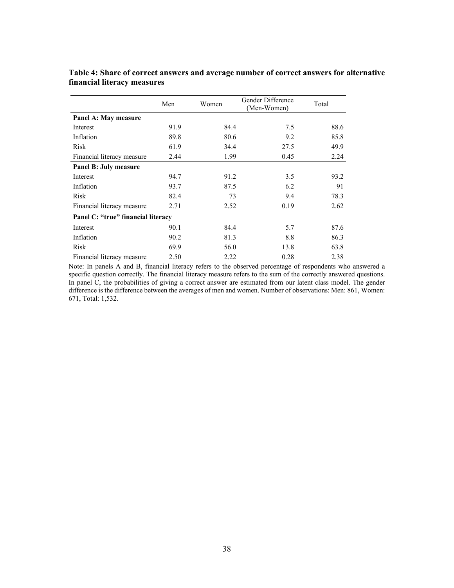|                                    | Men  | Women | Gender Difference<br>(Men-Women) | Total |
|------------------------------------|------|-------|----------------------------------|-------|
| Panel A: May measure               |      |       |                                  |       |
| Interest                           | 91.9 | 84.4  | 7.5                              | 88.6  |
| Inflation                          | 89.8 | 80.6  | 9.2                              | 85.8  |
| Risk                               | 61.9 | 34.4  | 27.5                             | 49.9  |
| Financial literacy measure         | 2.44 | 1.99  | 0.45                             | 2.24  |
| Panel B: July measure              |      |       |                                  |       |
| Interest                           | 94.7 | 91.2  | 3.5                              | 93.2  |
| Inflation                          | 93.7 | 87.5  | 6.2                              | 91    |
| Risk                               | 82.4 | 73    | 9.4                              | 78.3  |
| Financial literacy measure         | 2.71 | 2.52  | 0.19                             | 2.62  |
| Panel C: "true" financial literacy |      |       |                                  |       |
| Interest                           | 90.1 | 84.4  | 5.7                              | 87.6  |
| Inflation                          | 90.2 | 81.3  | 8.8                              | 86.3  |
| Risk                               | 69.9 | 56.0  | 13.8                             | 63.8  |
| Financial literacy measure         | 2.50 | 2.22  | 0.28                             | 2.38  |

**Table 4: Share of correct answers and average number of correct answers for alternative financial literacy measures** 

Note: In panels A and B, financial literacy refers to the observed percentage of respondents who answered a specific question correctly. The financial literacy measure refers to the sum of the correctly answered questions. In panel C, the probabilities of giving a correct answer are estimated from our latent class model. The gender difference is the difference between the averages of men and women. Number of observations: Men: 861, Women: 671, Total: 1,532.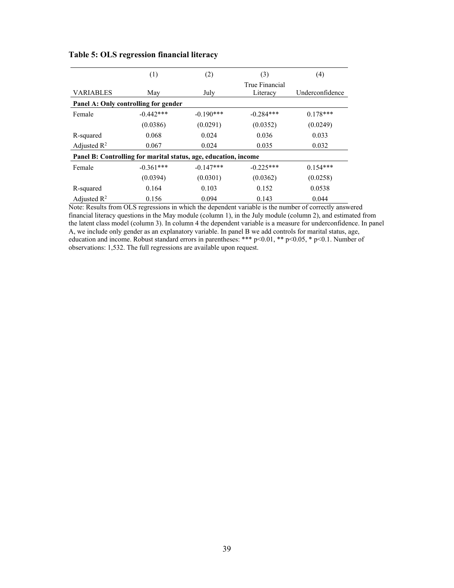|                                                                 | (1)         | (2)         | (3)                        | (4)             |  |  |  |  |  |  |
|-----------------------------------------------------------------|-------------|-------------|----------------------------|-----------------|--|--|--|--|--|--|
| <b>VARIABLES</b>                                                | July<br>May |             | True Financial<br>Literacy | Underconfidence |  |  |  |  |  |  |
| Panel A: Only controlling for gender                            |             |             |                            |                 |  |  |  |  |  |  |
| Female                                                          | $-0.442***$ | $-0.190***$ | $-0.284***$                | $0.178***$      |  |  |  |  |  |  |
|                                                                 | (0.0386)    | (0.0291)    | (0.0352)                   | (0.0249)        |  |  |  |  |  |  |
| R-squared                                                       | 0.068       | 0.024       | 0.036                      | 0.033           |  |  |  |  |  |  |
| Adjusted $R^2$                                                  | 0.067       | 0.024       | 0.035                      | 0.032           |  |  |  |  |  |  |
| Panel B: Controlling for marital status, age, education, income |             |             |                            |                 |  |  |  |  |  |  |
| Female                                                          | $-0.361***$ | $-0.147***$ | $-0.225***$                | $0.154***$      |  |  |  |  |  |  |
|                                                                 | (0.0394)    | (0.0301)    | (0.0362)                   | (0.0258)        |  |  |  |  |  |  |
| R-squared                                                       | 0.164       | 0.103       | 0.152                      | 0.0538          |  |  |  |  |  |  |
| Adjusted $R^2$                                                  | 0.156       | 0.094       | 0.143                      | 0.044           |  |  |  |  |  |  |

## **Table 5: OLS regression financial literacy**

Note: Results from OLS regressions in which the dependent variable is the number of correctly answered financial literacy questions in the May module (column 1), in the July module (column 2), and estimated from the latent class model (column 3). In column 4 the dependent variable is a measure for underconfidence. In panel A, we include only gender as an explanatory variable. In panel B we add controls for marital status, age, education and income. Robust standard errors in parentheses: \*\*\* p<0.01, \*\* p<0.05, \* p<0.1. Number of observations: 1,532. The full regressions are available upon request.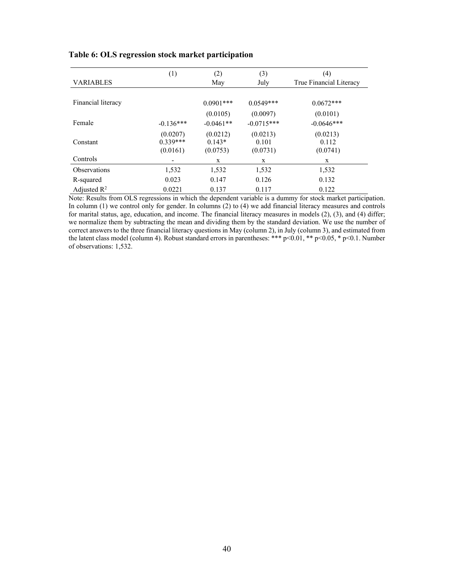|                         | (1)         | (2)         | (3)          | (4)                     |
|-------------------------|-------------|-------------|--------------|-------------------------|
| <b>VARIABLES</b>        |             | May         | July         | True Financial Literacy |
|                         |             |             |              |                         |
| Financial literacy      |             | $0.0901***$ | $0.0549***$  | $0.0672***$             |
|                         |             | (0.0105)    | (0.0097)     | (0.0101)                |
| Female                  | $-0.136***$ | $-0.0461**$ | $-0.0715***$ | $-0.0646***$            |
|                         | (0.0207)    | (0.0212)    | (0.0213)     | (0.0213)                |
| Constant                | $0.339***$  | $0.143*$    | 0.101        | 0.112                   |
|                         | (0.0161)    | (0.0753)    | (0.0731)     | (0.0741)                |
| Controls                |             | X           | X            | X                       |
| <b>Observations</b>     | 1,532       | 1,532       | 1,532        | 1,532                   |
| R-squared               | 0.023       | 0.147       | 0.126        | 0.132                   |
| Adjusted $\mathbb{R}^2$ | 0.0221      | 0.137       | 0.117        | 0.122                   |

#### **Table 6: OLS regression stock market participation**

Note: Results from OLS regressions in which the dependent variable is a dummy for stock market participation. In column (1) we control only for gender. In columns (2) to (4) we add financial literacy measures and controls for marital status, age, education, and income. The financial literacy measures in models (2), (3), and (4) differ; we normalize them by subtracting the mean and dividing them by the standard deviation. We use the number of correct answers to the three financial literacy questions in May (column 2), in July (column 3), and estimated from the latent class model (column 4). Robust standard errors in parentheses: \*\*\* p<0.01, \*\* p<0.05, \* p<0.1. Number of observations: 1,532.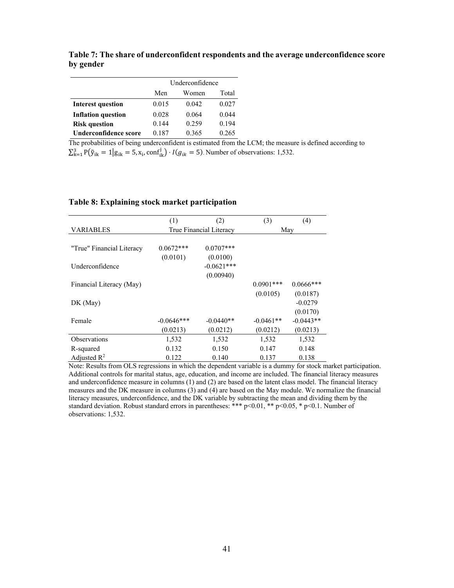|                           | Underconfidence       |       |       |  |  |  |
|---------------------------|-----------------------|-------|-------|--|--|--|
|                           | Total<br>Men<br>Women |       |       |  |  |  |
| <b>Interest question</b>  | 0.015                 | 0.042 | 0.027 |  |  |  |
| <b>Inflation question</b> | 0.028                 | 0.064 | 0.044 |  |  |  |
| <b>Risk question</b>      | 0.144                 | 0.259 | 0.194 |  |  |  |
| Underconfidence score     | 0.187                 | 0.365 | 0.265 |  |  |  |

**Table 7: The share of underconfident respondents and the average underconfidence score by gender** 

The probabilities of being underconfident is estimated from the LCM; the measure is defined according to  $\sum_{k=1}^{3} P(\tilde{y}_{ik} = 1 | g_{ik} = 5, x_i, \text{conf}_{ik}^j) \cdot I(g_{ik} = 5)$ . Number of observations: 1,532.

#### **Table 8: Explaining stock market participation**

|                           | (1)          | (2)                     | (3)          | (4)          |  |
|---------------------------|--------------|-------------------------|--------------|--------------|--|
| <b>VARIABLES</b>          |              | True Financial Literacy |              | May          |  |
|                           |              |                         |              |              |  |
| "True" Financial Literacy | $0.0672***$  | $0.0707***$             |              |              |  |
|                           | (0.0101)     | (0.0100)                |              |              |  |
| Underconfidence           |              | $-0.0621***$            |              |              |  |
|                           |              | (0.00940)               |              |              |  |
| Financial Literacy (May)  |              |                         | $0.0901$ *** | $0.0666$ *** |  |
|                           |              |                         | (0.0105)     | (0.0187)     |  |
| DK(May)                   |              |                         |              | $-0.0279$    |  |
|                           |              |                         |              | (0.0170)     |  |
| Female                    | $-0.0646***$ | $-0.0440**$             | $-0.0461**$  | $-0.0443**$  |  |
|                           | (0.0213)     | (0.0212)                | (0.0212)     | (0.0213)     |  |
| <b>Observations</b>       | 1,532        | 1,532                   | 1,532        | 1,532        |  |
| R-squared                 | 0.132        | 0.150                   | 0.147        | 0.148        |  |
| Adjusted $\mathbb{R}^2$   | 0.122        | 0.140                   | 0.137        | 0.138        |  |

Note: Results from OLS regressions in which the dependent variable is a dummy for stock market participation. Additional controls for marital status, age, education, and income are included. The financial literacy measures and underconfidence measure in columns (1) and (2) are based on the latent class model. The financial literacy measures and the DK measure in columns (3) and (4) are based on the May module. We normalize the financial literacy measures, underconfidence, and the DK variable by subtracting the mean and dividing them by the standard deviation. Robust standard errors in parentheses: \*\*\* p<0.01, \*\* p<0.05, \* p<0.1. Number of observations: 1,532.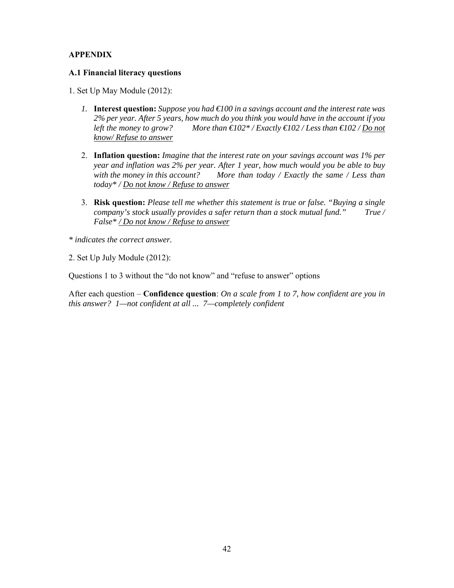### **APPENDIX**

#### **A.1 Financial literacy questions**

- 1. Set Up May Module (2012):
	- *1.* **Interest question:** *Suppose you had €100 in a savings account and the interest rate was 2% per year. After 5 years, how much do you think you would have in the account if you left the money to grow? More than €102\* / Exactly €102 / Less than €102 / Do not know/ Refuse to answer*
	- 2. **Inflation question:** *Imagine that the interest rate on your savings account was 1% per year and inflation was 2% per year. After 1 year, how much would you be able to buy with the money in this account? More than today / Exactly the same / Less than today\* / Do not know / Refuse to answer*
	- 3. **Risk question:** *Please tell me whether this statement is true or false. "Buying a single company's stock usually provides a safer return than a stock mutual fund." True / False\* / Do not know / Refuse to answer*

*\* indicates the correct answer.* 

2. Set Up July Module (2012):

Questions 1 to 3 without the "do not know" and "refuse to answer" options

After each question – **Confidence question**: *On a scale from 1 to 7, how confident are you in this answer? 1—not confident at all ... 7—completely confident*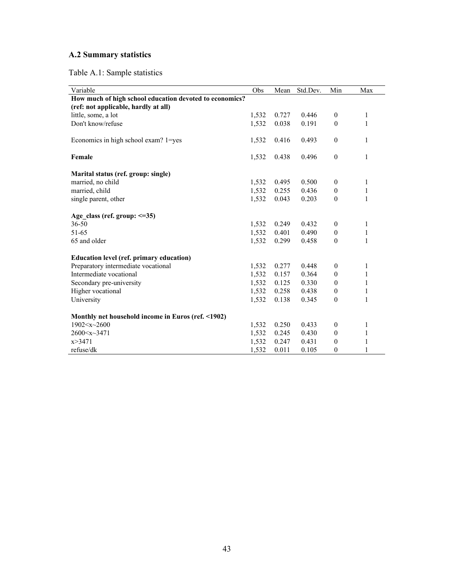# **A.2 Summary statistics**

# Table A.1: Sample statistics

| Variable                                                | Obs   | Mean  | Std.Dev. | Min              | Max          |
|---------------------------------------------------------|-------|-------|----------|------------------|--------------|
| How much of high school education devoted to economics? |       |       |          |                  |              |
| (ref: not applicable, hardly at all)                    |       |       |          |                  |              |
| little, some, a lot                                     | 1,532 | 0.727 | 0.446    | $\boldsymbol{0}$ | 1            |
| Don't know/refuse                                       | 1,532 | 0.038 | 0.191    | $\theta$         | 1            |
| Economics in high school exam? 1=yes                    | 1,532 | 0.416 | 0.493    | $\boldsymbol{0}$ | 1            |
| Female                                                  | 1,532 | 0.438 | 0.496    | $\theta$         | $\mathbf{1}$ |
| Marital status (ref. group: single)                     |       |       |          |                  |              |
| married, no child                                       | 1,532 | 0.495 | 0.500    | $\mathbf{0}$     | 1            |
| married, child                                          | 1,532 | 0.255 | 0.436    | $\boldsymbol{0}$ | $\mathbf{1}$ |
| single parent, other                                    | 1,532 | 0.043 | 0.203    | $\mathbf{0}$     | 1            |
| Age class (ref. group: $\leq=35$ )                      |       |       |          |                  |              |
| $36 - 50$                                               | 1,532 | 0.249 | 0.432    | $\mathbf{0}$     | 1            |
| 51-65                                                   | 1,532 | 0.401 | 0.490    | $\theta$         | $\mathbf{1}$ |
| 65 and older                                            | 1,532 | 0.299 | 0.458    | $\theta$         | $\mathbf{1}$ |
| <b>Education level (ref. primary education)</b>         |       |       |          |                  |              |
| Preparatory intermediate vocational                     | 1,532 | 0.277 | 0.448    | $\boldsymbol{0}$ | 1            |
| Intermediate vocational                                 | 1,532 | 0.157 | 0.364    | $\theta$         | 1            |
| Secondary pre-university                                | 1,532 | 0.125 | 0.330    | $\theta$         | 1            |
| Higher vocational                                       | 1,532 | 0.258 | 0.438    | $\theta$         | 1            |
| University                                              | 1,532 | 0.138 | 0.345    | $\mathbf{0}$     | $\mathbf{1}$ |
| Monthly net household income in Euros (ref. <1902)      |       |       |          |                  |              |
| $1902 \le x \le 2600$                                   | 1,532 | 0.250 | 0.433    | $\boldsymbol{0}$ | $\mathbf{1}$ |
| $2600 \le x \le 3471$                                   | 1,532 | 0.245 | 0.430    | $\theta$         | $\mathbf{1}$ |
| x > 3471                                                | 1,532 | 0.247 | 0.431    | $\theta$         | 1            |
| refuse/dk                                               | 1,532 | 0.011 | 0.105    | $\mathbf{0}$     | $\mathbf{1}$ |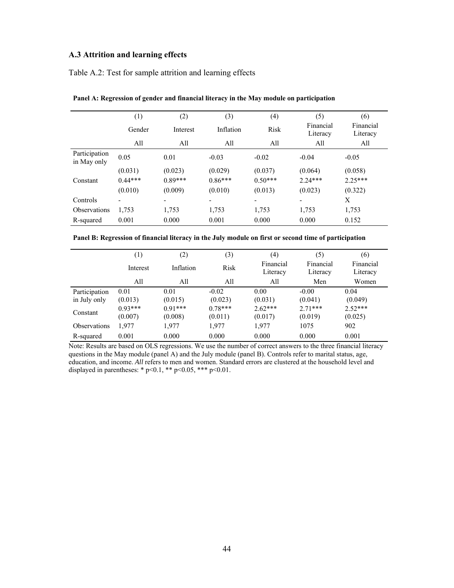# **A.3 Attrition and learning effects**

Table A.2: Test for sample attrition and learning effects

|                              | (1)       | (2)       | (3)       | (4)       | (5)                      | (6)                   |
|------------------------------|-----------|-----------|-----------|-----------|--------------------------|-----------------------|
|                              | Gender    | Interest  | Inflation | Risk      | Financial<br>Literacy    | Financial<br>Literacy |
|                              | All       | All       | All       | All       | All                      | All                   |
| Participation<br>in May only | 0.05      | 0.01      | $-0.03$   | $-0.02$   | $-0.04$                  | $-0.05$               |
|                              | (0.031)   | (0.023)   | (0.029)   | (0.037)   | (0.064)                  | (0.058)               |
| Constant                     | $0.44***$ | $0.89***$ | $0.86***$ | $0.50***$ | $2.24***$                | $2.25***$             |
|                              | (0.010)   | (0.009)   | (0.010)   | (0.013)   | (0.023)                  | (0.322)               |
| Controls                     |           |           |           |           | $\overline{\phantom{0}}$ | X                     |
| <b>Observations</b>          | 1,753     | 1,753     | 1,753     | 1,753     | 1,753                    | 1,753                 |
| R-squared                    | 0.001     | 0.000     | 0.001     | 0.000     | 0.000                    | 0.152                 |

**Panel A: Regression of gender and financial literacy in the May module on participation** 

| Panel B: Regression of financial literacy in the July module on first or second time of participation |  |  |  |
|-------------------------------------------------------------------------------------------------------|--|--|--|
|                                                                                                       |  |  |  |

|                     | $\left(1\right)$ | $\left( 2\right)$ | (3)       | (4)                   | (5)                   | (6)                   |
|---------------------|------------------|-------------------|-----------|-----------------------|-----------------------|-----------------------|
|                     | Interest         | Inflation         | Risk      | Financial<br>Literacy | Financial<br>Literacy | Financial<br>Literacy |
|                     | All              | All               | All       | All                   | Men                   | Women                 |
| Participation       | 0.01             | 0.01              | $-0.02$   | 0.00                  | $-0.00$               | 0.04                  |
| in July only        | (0.013)          | (0.015)           | (0.023)   | (0.031)               | (0.041)               | (0.049)               |
| Constant            | $0.93***$        | $0.91***$         | $0.78***$ | $2.62***$             | $2.71***$             | $2.52***$             |
|                     | (0.007)          | (0.008)           | (0.011)   | (0.017)               | (0.019)               | (0.025)               |
| <b>Observations</b> | 1,977            | 1,977             | 1,977     | 1.977                 | 1075                  | 902                   |
| R-squared           | 0.001            | 0.000             | 0.000     | 0.000                 | 0.000                 | 0.001                 |

Note: Results are based on OLS regressions. We use the number of correct answers to the three financial literacy questions in the May module (panel A) and the July module (panel B). Controls refer to marital status, age, education, and income. *All* refers to men and women. Standard errors are clustered at the household level and displayed in parentheses: \*  $p<0.1$ , \*\*  $p<0.05$ , \*\*\*  $p<0.01$ .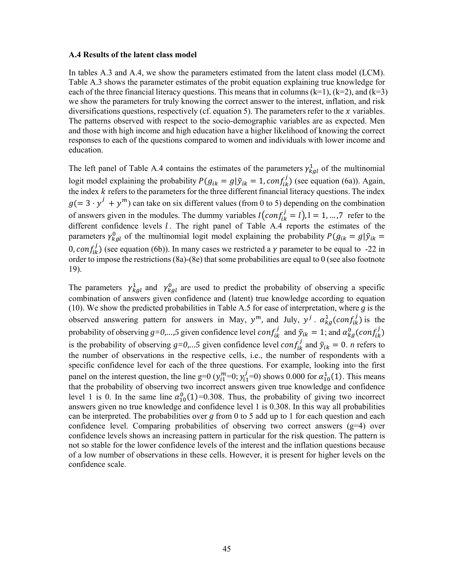#### **A.4 Results of the latent class model**

In tables A.3 and A.4, we show the parameters estimated from the latent class model (LCM). Table A.3 shows the parameter estimates of the probit equation explaining true knowledge for each of the three financial literacy questions. This means that in columns  $(k=1)$ ,  $(k=2)$ , and  $(k=3)$ we show the parameters for truly knowing the correct answer to the interest, inflation, and risk diversifications questions, respectively (cf. equation 5). The parameters refer to the  $\chi$  variables. The patterns observed with respect to the socio-demographic variables are as expected. Men and those with high income and high education have a higher likelihood of knowing the correct responses to each of the questions compared to women and individuals with lower income and education.

The left panel of Table A.4 contains the estimates of the parameters  $\gamma_{kg}^1$  of the multinomial logit model explaining the probability  $P(g_{ik} = g | \tilde{y}_{ik} = 1, conf_{ik}^j)$  (see equation (6a)). Again, the index  $k$  refers to the parameters for the three different financial literacy questions. The index  $g(= 3 \cdot y^j + y^m)$  can take on six different values (from 0 to 5) depending on the combination of answers given in the modules. The dummy variables  $I\left( conf_{ik}^{j} = l\right), l = 1, ..., 7$  refer to the different confidence levels  $l$ . The right panel of Table A.4 reports the estimates of the parameters  $\gamma_{kg}^0$  of the multinomial logit model explaining the probability  $P(g_{ik} = g | \tilde{y}_{ik})$ 0,  $conf_{ik}^{j}$ ) (see equation (6b)). In many cases we restricted a  $\gamma$  parameter to be equal to -22 in order to impose the restrictions (8a)-(8e) that some probabilities are equal to 0 (see also footnote 19).

The parameters  $\gamma_{kg}^1$  and  $\gamma_{kg}^0$  are used to predict the probability of observing a specific combination of answers given confidence and (latent) true knowledge according to equation (10). We show the predicted probabilities in Table A.5 for ease of interpretation, where *g* is the observed answering pattern for answers in May,  $y^m$ , and July,  $y^j$ .  $\alpha_{kg}^1$  (con $f_{ik}^j$ ) is the probability of observing  $g=0,...,5$  given confidence level  $conf_{ik}^j$  and  $\tilde{y}_{ik} = 1$ ; and  $\alpha_{kg}^0 (conf_{ik}^j)$ is the probability of observing  $g=0,...5$  given confidence level  $conf_{ik}^j$  and  $\tilde{y}_{ik} = 0$ . *n* refers to the number of observations in the respective cells, i.e., the number of respondents with a specific confidence level for each of the three questions. For example, looking into the first panel on the interest question, the line g=0 ( $y_{i1}^m$ =0;  $y_{i1}^j$ =0) shows 0.000 for  $\alpha_{10}^1(1)$ . This means that the probability of observing two incorrect answers given true knowledge and confidence level 1 is 0. In the same line  $\alpha_{10}^{0}(1)$ =0.308. Thus, the probability of giving two incorrect answers given no true knowledge and confidence level 1 is 0.308. In this way all probabilities can be interpreted. The probabilities over *g* from 0 to 5 add up to 1 for each question and each confidence level. Comparing probabilities of observing two correct answers  $(g=4)$  over confidence levels shows an increasing pattern in particular for the risk question. The pattern is not so stable for the lower confidence levels of the interest and the inflation questions because of a low number of observations in these cells. However, it is present for higher levels on the confidence scale.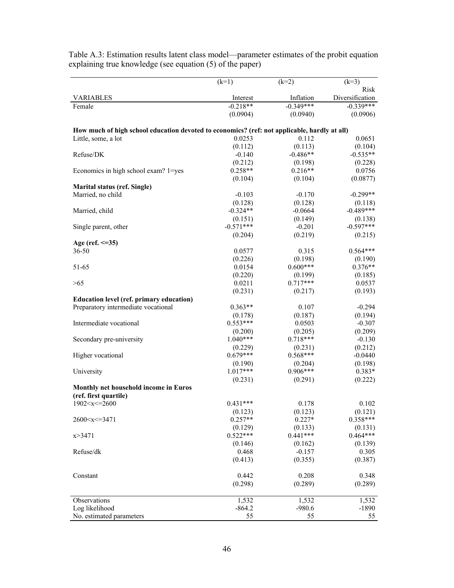|                                                                                              | $(k=1)$     | $(k=2)$               | $(k=3)$                 |
|----------------------------------------------------------------------------------------------|-------------|-----------------------|-------------------------|
| <b>VARIABLES</b>                                                                             | Interest    | Inflation             | Risk<br>Diversification |
| Female                                                                                       | $-0.218**$  | $-0.349***$           | $-0.339***$             |
|                                                                                              | (0.0904)    | (0.0940)              | (0.0906)                |
| How much of high school education devoted to economics? (ref: not applicable, hardly at all) |             |                       |                         |
| Little, some, a lot                                                                          | 0.0253      | 0.112                 | 0.0651                  |
|                                                                                              | (0.112)     | (0.113)               | (0.104)                 |
| Refuse/DK                                                                                    | $-0.140$    | $-0.486**$            | $-0.535**$              |
|                                                                                              | (0.212)     | (0.198)               | (0.228)                 |
| Economics in high school exam? 1=yes                                                         | $0.258**$   | $0.216**$             | 0.0756                  |
|                                                                                              | (0.104)     | (0.104)               | (0.0877)                |
| <b>Marital status (ref. Single)</b>                                                          |             |                       |                         |
| Married, no child                                                                            | $-0.103$    | $-0.170$              | $-0.299**$              |
|                                                                                              | (0.128)     | (0.128)               | (0.118)                 |
| Married, child                                                                               | $-0.324**$  | $-0.0664$             | $-0.489***$             |
|                                                                                              | (0.151)     | (0.149)               | (0.138)                 |
| Single parent, other                                                                         | $-0.571***$ | $-0.201$              | $-0.597***$             |
|                                                                                              | (0.204)     | (0.219)               | (0.215)                 |
| Age (ref. $\leq$ =35)                                                                        |             |                       |                         |
| $36 - 50$                                                                                    | 0.0577      | 0.315                 | $0.564***$              |
|                                                                                              | (0.226)     |                       | (0.190)                 |
| 51-65                                                                                        | 0.0154      | (0.198)<br>$0.600***$ | $0.376**$               |
|                                                                                              |             |                       |                         |
|                                                                                              | (0.220)     | (0.199)               | (0.185)                 |
| >65                                                                                          | 0.0211      | $0.717***$            | 0.0537                  |
|                                                                                              | (0.231)     | (0.217)               | (0.193)                 |
| <b>Education level (ref. primary education)</b>                                              |             |                       |                         |
| Preparatory intermediate vocational                                                          | $0.363**$   | 0.107                 | $-0.294$                |
|                                                                                              | (0.178)     | (0.187)               | (0.194)                 |
| Intermediate vocational                                                                      | $0.553***$  | 0.0503                | $-0.307$                |
|                                                                                              | (0.200)     | (0.205)               | (0.209)                 |
| Secondary pre-university                                                                     | $1.040***$  | $0.718***$            | $-0.130$                |
|                                                                                              | (0.229)     | (0.231)               | (0.212)                 |
| Higher vocational                                                                            | $0.679***$  | $0.568***$            | $-0.0440$               |
|                                                                                              | (0.190)     | (0.204)               | (0.198)                 |
| University                                                                                   | $1.017***$  | $0.906***$            | $0.383*$                |
|                                                                                              | (0.231)     | (0.291)               | (0.222)                 |
| Monthly net household income in Euros                                                        |             |                       |                         |
| (ref. first quartile)                                                                        | $0.431***$  |                       |                         |
| 1902 < x < 2600                                                                              |             | 0.178                 | 0.102                   |
|                                                                                              | (0.123)     | (0.123)               | (0.121)                 |
| 2600 < x < 3471                                                                              | $0.257**$   | $0.227*$              | $0.358***$              |
|                                                                                              | (0.129)     | (0.133)               | (0.131)                 |
| x > 3471                                                                                     | $0.522***$  | $0.441***$            | $0.464***$              |
|                                                                                              | (0.146)     | (0.162)               | (0.139)                 |
| Refuse/dk                                                                                    | 0.468       | $-0.157$              | 0.305                   |
|                                                                                              | (0.413)     | (0.355)               | (0.387)                 |
| Constant                                                                                     | 0.442       | 0.208                 | 0.348                   |
|                                                                                              | (0.298)     | (0.289)               | (0.289)                 |
|                                                                                              |             |                       |                         |
| Observations                                                                                 | 1,532       | 1,532                 | 1,532                   |
| Log likelihood                                                                               | $-864.2$    | $-980.6$              | $-1890$                 |
| No. estimated parameters                                                                     | 55          | 55                    | 55                      |

Table A.3: Estimation results latent class model—parameter estimates of the probit equation explaining true knowledge (see equation (5) of the paper)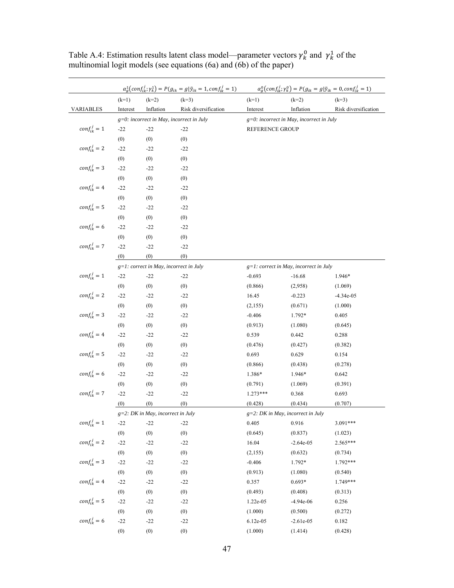|                     |          |                                           | $\alpha_{g}^{1}(conf_{ik}^{j}; \gamma_{k}^{1}) = P(g_{ik} = g   \tilde{y}_{ik} = 1, conf_{ik}^{j} = 1)$ |            |                                             | $\alpha_g^0\left(\text{conf}_{ik}^j; \gamma_k^0\right) = P(g_{ik} = g   \tilde{y}_{ik} = 0, \text{conf}_{ik}^j = 1)$ |  |  |  |
|---------------------|----------|-------------------------------------------|---------------------------------------------------------------------------------------------------------|------------|---------------------------------------------|----------------------------------------------------------------------------------------------------------------------|--|--|--|
|                     | $(k=1)$  | $(k=2)$                                   | $(k=3)$                                                                                                 | $(k=1)$    | $(k=2)$                                     | $(k=3)$                                                                                                              |  |  |  |
| <b>VARIABLES</b>    | Interest | Inflation                                 | Risk diversification                                                                                    | Interest   | Inflation                                   | Risk diversification                                                                                                 |  |  |  |
|                     |          |                                           | $g=0$ : incorrect in May, incorrect in July                                                             |            | $g=0$ : incorrect in May, incorrect in July |                                                                                                                      |  |  |  |
| $conf_{ik}^j = 1$   | $-22$    | $-22$                                     | $-22$                                                                                                   |            | REFERENCE GROUP                             |                                                                                                                      |  |  |  |
|                     | (0)      | (0)                                       | (0)                                                                                                     |            |                                             |                                                                                                                      |  |  |  |
| $conf_{ik}^j = 2$   | $-22$    | $-22$                                     | $-22$                                                                                                   |            |                                             |                                                                                                                      |  |  |  |
|                     | (0)      | (0)                                       | (0)                                                                                                     |            |                                             |                                                                                                                      |  |  |  |
| $conf_{ik}^j = 3$   | $-22$    | $-22$                                     | $-22$                                                                                                   |            |                                             |                                                                                                                      |  |  |  |
|                     | (0)      | (0)                                       | (0)                                                                                                     |            |                                             |                                                                                                                      |  |  |  |
| $conf_{ik}^{\,j}=4$ | $-22$    | $-22$                                     | $-22$                                                                                                   |            |                                             |                                                                                                                      |  |  |  |
|                     | (0)      | (0)                                       | (0)                                                                                                     |            |                                             |                                                                                                                      |  |  |  |
| $conf_{ik}^j = 5$   | $-22$    | $-22$                                     | $-22$                                                                                                   |            |                                             |                                                                                                                      |  |  |  |
|                     | (0)      | (0)                                       | (0)                                                                                                     |            |                                             |                                                                                                                      |  |  |  |
| $conf_{ik}^j = 6$   | $-22$    | $-22$                                     | $-22$                                                                                                   |            |                                             |                                                                                                                      |  |  |  |
|                     | (0)      | (0)                                       | (0)                                                                                                     |            |                                             |                                                                                                                      |  |  |  |
| $conf_{ik}^j = 7$   | $-22$    | $-22$                                     | $-22$                                                                                                   |            |                                             |                                                                                                                      |  |  |  |
|                     | (0)      | (0)                                       | (0)                                                                                                     |            |                                             |                                                                                                                      |  |  |  |
|                     |          | $g=1$ : correct in May, incorrect in July |                                                                                                         |            | g=1: correct in May, incorrect in July      |                                                                                                                      |  |  |  |
| $conf_{ik}^j = 1$   | $-22$    | $-22$                                     | $-22$                                                                                                   | $-0.693$   | $-16.68$                                    | 1.946*                                                                                                               |  |  |  |
|                     | (0)      | (0)                                       | (0)                                                                                                     | (0.866)    | (2,958)                                     | (1.069)                                                                                                              |  |  |  |
| $conf_{ik}^j = 2$   | $-22$    | $-22$                                     | $-22$                                                                                                   | 16.45      | $-0.223$                                    | $-4.34e-05$                                                                                                          |  |  |  |
|                     | (0)      | (0)                                       | (0)                                                                                                     | (2,155)    | (0.671)                                     | (1.000)                                                                                                              |  |  |  |
| $conf_{ik}^j = 3$   | $-22$    | $-22$                                     | $-22$                                                                                                   | $-0.406$   | 1.792*                                      | 0.405                                                                                                                |  |  |  |
|                     | (0)      | (0)                                       | (0)                                                                                                     | (0.913)    | (1.080)                                     | (0.645)                                                                                                              |  |  |  |
| $conf_{ik}^j = 4$   | $-22$    | $-22$                                     | $-22$                                                                                                   | 0.539      | 0.442                                       | 0.288                                                                                                                |  |  |  |
|                     | (0)      | (0)                                       | (0)                                                                                                     | (0.476)    | (0.427)                                     | (0.382)                                                                                                              |  |  |  |
| $conf_{ik}^j = 5$   | $-22$    | $-22$                                     | $-22$                                                                                                   | 0.693      | 0.629                                       | 0.154                                                                                                                |  |  |  |
|                     | (0)      | (0)                                       | (0)                                                                                                     | (0.866)    | (0.438)                                     | (0.278)                                                                                                              |  |  |  |
| $conf_{ik}^j = 6$   | $-22$    | $-22$                                     | $-22$                                                                                                   | 1.386*     | 1.946*                                      | 0.642                                                                                                                |  |  |  |
|                     | (0)      | (0)                                       | (0)                                                                                                     | (0.791)    | (1.069)                                     | (0.391)                                                                                                              |  |  |  |
| $conf_{ik}^j = 7$   | $-22$    | $-22$                                     | $-22$                                                                                                   | $1.273***$ | 0.368                                       | 0.693                                                                                                                |  |  |  |
|                     | (0)      | (0)                                       | (0)                                                                                                     | (0.428)    | (0.434)                                     | (0.707)                                                                                                              |  |  |  |
|                     |          | g=2: DK in May, incorrect in July         |                                                                                                         |            | $g=2$ : DK in May, incorrect in July        |                                                                                                                      |  |  |  |
| $conf_{ik}^j = 1$   | $-22$    | $-22$                                     | $-22$                                                                                                   | 0.405      | 0.916                                       | 3.091***                                                                                                             |  |  |  |
|                     | (0)      | (0)                                       | (0)                                                                                                     | (0.645)    | (0.837)                                     | (1.023)                                                                                                              |  |  |  |
| $conf_{ik}^j = 2$   | $-22$    | $-22$                                     | $-22$                                                                                                   | 16.04      | $-2.64e-05$                                 | 2.565***                                                                                                             |  |  |  |
|                     | (0)      | (0)                                       | (0)                                                                                                     | (2,155)    | (0.632)                                     | (0.734)                                                                                                              |  |  |  |
| $conf_{ik}^j = 3$   | $-22$    | $-22$                                     | $-22$                                                                                                   | $-0.406$   | 1.792*                                      | 1.792***                                                                                                             |  |  |  |
|                     | (0)      | (0)                                       | (0)                                                                                                     | (0.913)    | (1.080)                                     | (0.540)                                                                                                              |  |  |  |
| $conf_{ik}^j = 4$   | $-22$    | $-22$                                     | $-22$                                                                                                   | 0.357      | $0.693*$                                    | 1.749***                                                                                                             |  |  |  |
|                     | (0)      | (0)                                       | (0)                                                                                                     | (0.493)    | (0.408)                                     | (0.313)                                                                                                              |  |  |  |
| $conf_{ik}^j = 5$   | $-22$    | $-22$                                     | $-22$                                                                                                   | 1.22e-05   | $-4.94e-06$                                 | 0.256                                                                                                                |  |  |  |
|                     | (0)      | (0)                                       | (0)                                                                                                     | (1.000)    | (0.500)                                     | (0.272)                                                                                                              |  |  |  |
| $conf_{ik}^j = 6$   | $-22$    | $-22$                                     | $-22$                                                                                                   | 6.12e-05   | $-2.61e-05$                                 | 0.182                                                                                                                |  |  |  |
|                     | (0)      | (0)                                       | (0)                                                                                                     | (1.000)    | (1.414)                                     | (0.428)                                                                                                              |  |  |  |

Table A.4: Estimation results latent class model—parameter vectors  $\gamma_k^0$  and  $\gamma_k^1$  of the multinomial logit models (see equations (6a) and (6b) of the paper)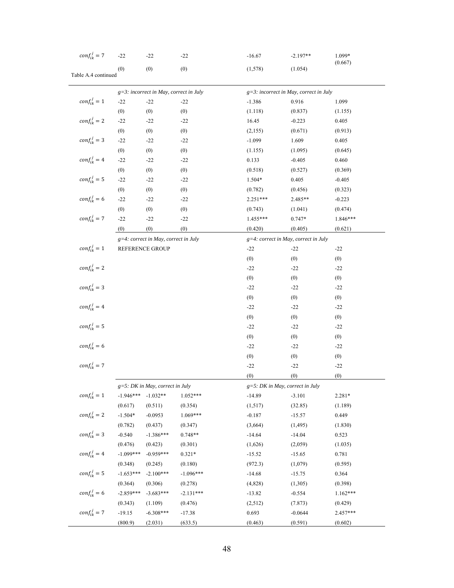| $conf_{ik}^j = 7$   | $-22$               | $-22$                                     | $-22$                | $-16.67$                           | $-2.197**$                                | 1.099*     |
|---------------------|---------------------|-------------------------------------------|----------------------|------------------------------------|-------------------------------------------|------------|
|                     | (0)                 | (0)                                       | (0)                  | (1,578)                            | (1.054)                                   | (0.667)    |
| Table A.4 continued |                     |                                           |                      |                                    |                                           |            |
|                     |                     | $g=3$ : incorrect in May, correct in July |                      |                                    | $g=3$ : incorrect in May, correct in July |            |
| $conf_{ik}^j = 1$   | $-22$               | $-22$                                     | $-22$                | $-1.386$                           | 0.916                                     | 1.099      |
|                     | (0)                 | (0)                                       | (0)                  | (1.118)                            | (0.837)                                   | (1.155)    |
| $conf_{ik}^j = 2$   | $-22$               | $-22$                                     | $-22$                | 16.45                              | $-0.223$                                  | 0.405      |
|                     |                     |                                           |                      |                                    |                                           |            |
| $conf_{ik}^j = 3$   | (0)                 | (0)                                       | (0)                  | (2,155)                            | (0.671)                                   | (0.913)    |
|                     | $-22$               | $-22$                                     | $-22$                | $-1.099$                           | 1.609                                     | 0.405      |
| $conf_{ik}^j = 4$   | (0)                 | (0)                                       | (0)                  | (1.155)                            | (1.095)                                   | (0.645)    |
|                     | $-22$               | $-22$                                     | $-22$                | 0.133                              | $-0.405$                                  | 0.460      |
|                     | (0)                 | (0)                                       | (0)                  | (0.518)                            | (0.527)                                   | (0.369)    |
| $conf_{ik}^j = 5$   | $-22$               | $-22$                                     | $-22$                | $1.504*$                           | 0.405                                     | $-0.405$   |
|                     | (0)                 | (0)                                       | (0)                  | (0.782)                            | (0.456)                                   | (0.323)    |
| $conf_{ik}^j = 6$   | $-22$               | $-22$                                     | $-22$                | $2.251***$                         | 2.485**                                   | $-0.223$   |
|                     | (0)                 | (0)                                       | (0)                  | (0.743)                            | (1.041)                                   | (0.474)    |
| $conf_{ik}^j = 7$   | $-22$               | $-22$                                     | $-22$                | 1.455***                           | $0.747*$                                  | 1.846***   |
|                     | (0)                 | (0)                                       | (0)                  | (0.420)                            | (0.405)                                   | (0.621)    |
|                     |                     | g=4: correct in May, correct in July      |                      |                                    | $g=4$ : correct in May, correct in July   |            |
| $conf_{ik}^j = 1$   |                     | REFERENCE GROUP                           |                      | $-22$                              | $-22$                                     | $-22$      |
|                     |                     |                                           |                      | (0)                                | (0)                                       | (0)        |
| $conf_{ik}^j = 2$   |                     |                                           |                      | $-22$                              | $-22$                                     | $-22$      |
|                     |                     |                                           |                      | (0)                                | (0)                                       | (0)        |
| $conf_{ik}^j = 3$   |                     |                                           |                      | $-22$                              | $-22$                                     | $-22$      |
|                     |                     |                                           |                      | (0)                                | (0)                                       | (0)        |
| $conf_{ik}^j = 4$   |                     |                                           |                      | $-22$                              | $-22$                                     | $-22$      |
|                     |                     |                                           |                      | (0)                                | (0)                                       | (0)        |
| $conf_{ik}^j = 5$   |                     |                                           |                      | $-22$                              | $-22$                                     | $-22$      |
|                     |                     |                                           |                      | (0)                                | (0)                                       | (0)        |
| $conf_{ik}^j = 6$   |                     |                                           |                      | $-22$                              | $-22$                                     | $-22$      |
|                     |                     |                                           |                      | (0)                                | (0)                                       | (0)        |
| $conf_{ik}^j = 7$   |                     |                                           |                      | $-22$                              | $-22$                                     | $-22$      |
|                     |                     |                                           |                      | (0)                                | (0)                                       | (0)        |
|                     |                     | $g=5$ : DK in May, correct in July        |                      | $g=5$ : DK in May, correct in July |                                           |            |
| $conf_{ik}^j = 1$   |                     | $-1.946***$ $-1.032**$                    | $1.052***$           | $-14.89$                           | $-3.101$                                  | $2.281*$   |
|                     | (0.617)             | (0.511)                                   | (0.354)              | (1,517)                            | (32.85)                                   | (1.189)    |
| $conf_{ik}^j = 2$   | $-1.504*$           | $-0.0953$                                 | 1.069***             | $-0.187$                           | $-15.57$                                  | 0.449      |
|                     |                     | (0.437)                                   |                      | (3,664)                            |                                           | (1.830)    |
| $conf_{ik}^j = 3$   | (0.782)<br>$-0.540$ | $-1.386***$                               | (0.347)<br>$0.748**$ |                                    | (1, 495)                                  |            |
|                     |                     |                                           |                      | $-14.64$                           | $-14.04$                                  | 0.523      |
| $conf^{\,j}_{ik}=4$ | (0.476)             | (0.423)                                   | (0.301)              | (1,626)                            | (2,059)                                   | (1.035)    |
|                     | $-1.099***$         | $-0.959***$                               | $0.321*$             | $-15.52$                           | $-15.65$                                  | 0.781      |
|                     | (0.348)             | (0.245)                                   | (0.180)              | (972.3)                            | (1,079)                                   | (0.595)    |
| $conf_{ik}^j = 5$   | $-1.653***$         | $-2.100***$                               | $-1.096***$          | $-14.68$                           | $-15.75$                                  | 0.364      |
|                     | (0.364)             | (0.306)                                   | (0.278)              | (4,828)                            | (1,305)                                   | (0.398)    |
| $conf_{ik}^j = 6$   | $-2.859***$         | $-3.683***$                               | $-2.131***$          | $-13.82$                           | $-0.554$                                  | $1.162***$ |
|                     | (0.343)             | (1.109)                                   | (0.476)              | (2,512)                            | (7.873)                                   | (0.429)    |
| $conf_{ik}^j = 7$   | $-19.15$            | $-6.308***$                               | $-17.38$             | 0.693                              | $-0.0644$                                 | 2.457***   |
|                     | (800.9)             | (2.031)                                   | (633.5)              | (0.463)                            | (0.591)                                   | (0.602)    |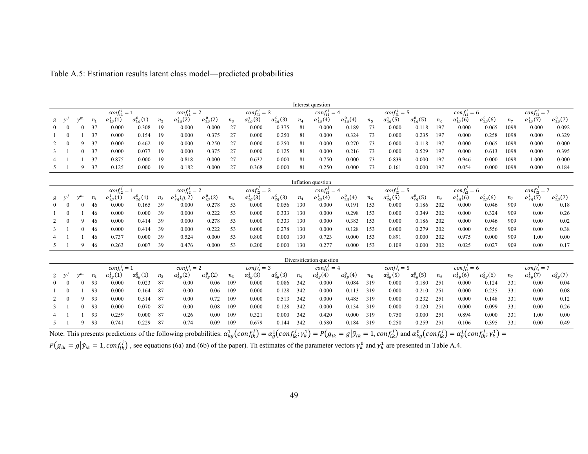|              |          |          |                |                    |                      |                |                       |                      |       |                    |                      |       | Interest question        |                      |                |                    |                      |         |                    |                    |                |                    |                    |
|--------------|----------|----------|----------------|--------------------|----------------------|----------------|-----------------------|----------------------|-------|--------------------|----------------------|-------|--------------------------|----------------------|----------------|--------------------|----------------------|---------|--------------------|--------------------|----------------|--------------------|--------------------|
|              |          |          |                | $conf_{i1}^j = 1$  |                      |                | $conf_{i1}^j = 2$     |                      |       | $conf_{i1}^j = 3$  |                      |       | $conf_{i1}^j = 4$        |                      |                | $conf_{i1}^j = 5$  |                      |         | $conf_{i1}^j = 6$  |                    |                | $conf_{i1}^j = 7$  |                    |
|              | v'       | $v^m$    | $n_{1}$        | $\alpha_{1g}^1(1)$ | $\alpha_{1g}^0(1)$   | n <sub>2</sub> | $\alpha_{1g}^1(2)$    | $\alpha_{1g}^0(2)$   | $n_3$ | $\alpha_{1g}^1(3)$ | $\alpha_{1g}^0(3)$   | $n_4$ | $\alpha_{1g}^1(4)$       | $\alpha_{1g}^0(4)$   | n <sub>5</sub> | $\alpha_{1g}^1(5)$ | $\alpha_{1g}^0(5)$   | $n_{6}$ | $\alpha_{1g}^1(6)$ | $\alpha_{1g}^0(6)$ | n <sub>7</sub> | $\alpha_{1g}^1(7)$ | $\alpha_{1g}^0(7)$ |
|              |          |          | 37             | 0.000              | 0.308                | 19             | 0.000                 | 0.000                | 27    | 0.000              | 0.375                | 81    | 0.000                    | 0.189                | 73             | 0.000              | 0.118                | 197     | 0.000              | 0.065              | 1098           | 0.000              | 0.092              |
|              | $\theta$ |          | 37             | 0.000              | 0.154                | 19             | 0.000                 | 0.375                | 27    | 0.000              | 0.250                | 81    | 0.000                    | 0.324                | 73             | 0.000              | 0.235                | 197     | 0.000              | 0.258              | 1098           | 0.000              | 0.329              |
|              | $\theta$ | 9        | 37             | 0.000              | 0.462                | 19             | 0.000                 | 0.250                | 27    | 0.000              | 0.250                | 81    | 0.000                    | 0.270                | 73             | 0.000              | 0.118                | 197     | 0.000              | 0.065              | 1098           | 0.000              | 0.000              |
| 3            |          | 0        | 37             | 0.000              | 0.077                | 19             | 0.000                 | 0.375                | 27    | 0.000              | 0.125                | 81    | 0.000                    | 0.216                | 73             | 0.000              | 0.529                | 197     | 0.000              | 0.613              | 1098           | 0.000              | 0.395              |
|              |          |          | 37             | 0.875              | 0.000                | 19             | 0.818                 | 0.000                | 27    | 0.632              | 0.000                | 81    | 0.750                    | 0.000                | 73             | 0.839              | 0.000                | 197     | 0.946              | 0.000              | 1098           | 1.000              | 0.000              |
| 5            |          | 9        | 37             | 0.125              | 0.000                | 19             | 0.182                 | 0.000                | 27    | 0.368              | 0.000                | 81    | 0.250                    | 0.000                | 73             | 0.161              | 0.000                | 197     | 0.054              | 0.000              | 1098           | 0.000              | 0.184              |
|              |          |          |                |                    |                      |                |                       |                      |       |                    |                      |       |                          |                      |                |                    |                      |         |                    |                    |                |                    |                    |
|              |          |          |                |                    |                      |                |                       |                      |       |                    |                      |       | Inflation question       |                      |                |                    |                      |         |                    |                    |                |                    |                    |
|              |          |          |                | $conf_{i2}^j = 1$  |                      |                | $conf_{i2}^j = 2$     |                      |       | $conf_{i2}^j = 3$  |                      |       | $conf_{i2}^j = 4$        |                      |                | $conf_{i2}^j = 5$  |                      |         | $conf_{i2}^j = 6$  |                    |                | $conf_{i2}^j = 7$  |                    |
| g            |          | $v^m$    | $n_{1}$        | $\alpha_{2g}^1(1)$ | $\alpha_{2g}^{0}(1)$ | n <sub>2</sub> | $\alpha_{2g}^1(g, 2)$ | $\alpha_{2g}^{0}(2)$ | $n_3$ | $\alpha_{2g}^1(3)$ | $\alpha_{2g}^{0}(3)$ | $n_4$ | $\alpha_{2g}^1(4)$       | $\alpha_{2g}^{0}(4)$ | n <sub>5</sub> | $\alpha_{2g}^1(5)$ | $\alpha_{2g}^{0}(5)$ | $n_{6}$ | $\alpha_{2g}^1(6)$ | $\alpha_{2g}^0(6)$ | n <sub>7</sub> | $\alpha_{2g}^1(7)$ | $\alpha_{2g}^0(7)$ |
|              | $\Omega$ | 0        | 46             | 0.000              | 0.165                | 39             | 0.000                 | 0.278                | 53    | 0.000              | 0.056                | 130   | 0.000                    | 0.191                | 153            | 0.000              | 0.186                | 202     | 0.000              | 0.046              | 909            | 0.00               | 0.18               |
|              | $\Omega$ |          | 46             | 0.000              | 0.000                | 39             | 0.000                 | 0.222                | 53    | 0.000              | 0.333                | 130   | 0.000                    | 0.298                | 153            | 0.000              | 0.349                | 202     | 0.000              | 0.324              | 909            | 0.00               | 0.26               |
|              |          | 9        | 46             | 0.000              | 0.414                | 39             | 0.000                 | 0.278                | 53    | 0.000              | 0.333                | 130   | 0.000                    | 0.383                | 153            | 0.000              | 0.186                | 202     | 0.000              | 0.046              | 909            | 0.00               | 0.02               |
|              |          | 0        | 46             | 0.000              | 0.414                | 39             | 0.000                 | 0.222                | 53    | 0.000              | 0.278                | 130   | 0.000                    | 0.128                | 153            | 0.000              | 0.279                | 202     | 0.000              | 0.556              | 909            | 0.00               | 0.38               |
|              |          |          | 46             | 0.737              | 0.000                | 39             | 0.524                 | 0.000                | 53    | 0.800              | 0.000                | 130   | 0.723                    | 0.000                | 153            | 0.891              | 0.000                | 202     | 0.975              | 0.000              | 909            | 1.00               | 0.00               |
|              |          | 9        | 46             | 0.263              | 0.007                | 39             | 0.476                 | 0.000                | 53    | 0.200              | 0.000                | 130   | 0.277                    | 0.000                | 153            | 0.109              | 0.000                | 202     | 0.025              | 0.027              | 909            | 0.00               | 0.17               |
|              |          |          |                |                    |                      |                |                       |                      |       |                    |                      |       |                          |                      |                |                    |                      |         |                    |                    |                |                    |                    |
|              |          |          |                |                    |                      |                |                       |                      |       |                    |                      |       | Diversification question |                      |                |                    |                      |         |                    |                    |                |                    |                    |
|              |          |          |                | $conf_{i3}^j = 1$  |                      |                | $conf_{i3}^j = 2$     |                      |       | $conf_{i3}^j = 3$  |                      |       | $conf_{i3}^j = 4$        |                      |                | $conf_{i3}^j = 5$  |                      |         | $conf_{i3}^j = 6$  |                    |                | $conf_{i3}^j = 7$  |                    |
|              |          | $y^m$    | n <sub>1</sub> | $\alpha_{3g}^1(1)$ | $\alpha_{3g}^0(1)$   | n <sub>2</sub> | $\alpha_{3g}^1(2)$    | $\alpha_{3g}^0(2)$   | $n_3$ | $\alpha_{3g}^1(3)$ | $\alpha_{3g}^0(3)$   | $n_4$ | $\alpha_{3g}^1(4)$       | $\alpha_{3g}^0(4)$   | n <sub>5</sub> | $\alpha_{3g}^1(5)$ | $\alpha_{3g}^0(5)$   | $n_{6}$ | $\alpha_{3g}^1(6)$ | $\alpha_{3g}^0(6)$ | n <sub>7</sub> | $\alpha_{3g}^1(7)$ | $\alpha_{3g}^0(7)$ |
|              |          | $\Omega$ | 93             | 0.000              | 0.023                | 87             | 0.00                  | 0.06                 | 109   | 0.000              | 0.086                | 342   | 0.000                    | 0.084                | 319            | 0.000              | 0.180                | 251     | 0.000              | 0.124              | 331            | 0.00               | 0.04               |
|              | $\Omega$ |          | 93             | 0.000              | 0.164                | 87             | 0.00                  | 0.06                 | 109   | 0.000              | 0.128                | 342   | 0.000                    | 0.113                | 319            | 0.000              | 0.210                | 251     | 0.000              | 0.235              | 331            | 0.00               | 0.08               |
|              | $\Omega$ | 9        | 93             | 0.000              | 0.514                | 87             | 0.00                  | 0.72                 | 109   | 0.000              | 0.513                | 342   | 0.000                    | 0.485                | 319            | 0.000              | 0.232                | 251     | 0.000              | 0.148              | 331            | 0.00               | 0.12               |
| $\mathbf{3}$ |          |          | 93             | 0.000              | 0.070                | 87             | 0.00                  | 0.08                 | 109   | 0.000              | 0.128                | 342   | 0.000                    | 0.134                | 319            | 0.000              | 0.120                | 251     | 0.000              | 0.099              | 331            | 0.00               | 0.26               |
|              |          |          | 93             | 0.259              | 0.000                | 87             | 0.26                  | 0.00                 | 109   | 0.321              | 0.000                | 342   | 0.420                    | 0.000                | 319            | 0.750              | 0.000                | 251     | 0.894              | 0.000              | 331            | 1.00               | 0.00               |
| 5            |          | $\Omega$ | 93             | 0.741              | 0.229                | 87             | 0.74                  | 0.09                 | 109   | 0.679              | 0.144                | 342   | 0.580                    | 0.184                | 319            | 0.250              | 0.259                | 251     | 0.106              | 0.395              | 331            | 0.00               | 0.49               |

Table A.5: Estimation results latent class model—predicted probabilities

Note: This presents predictions of the following probabilities:  $a_{kg}^1(\text{conf}_{ik}^j) = a_g^1(\text{conf}_{ik}^j; \gamma_k^1) = P(g_{ik} = g | \tilde{y}_{ik} = 1, \text{conf}_{ik}^j)$  and  $a_{kg}^0(\text{conf}_{ik}^j) = a_g^1(\text{conf}_{ik}^j; \gamma_k^1) = P(g_{ik} = g | \tilde{y}_{ik} = 1, \text{conf}_{ik}^j)$ 

 $P(g_{ik} = g | \tilde{y}_{ik} = 1, conf_{ik}^j)$ , see equations (6a) and (6b) of the paper). Th estimates of the parameter vectors  $\gamma_k^0$  and  $\gamma_k^1$  are presented in Table A.4.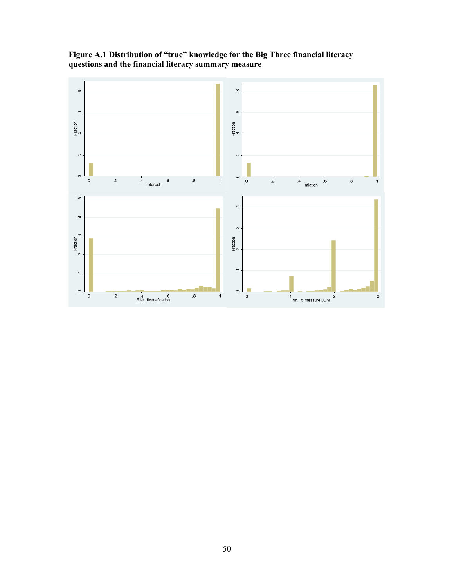

**Figure A.1 Distribution of "true" knowledge for the Big Three financial literacy questions and the financial literacy summary measure**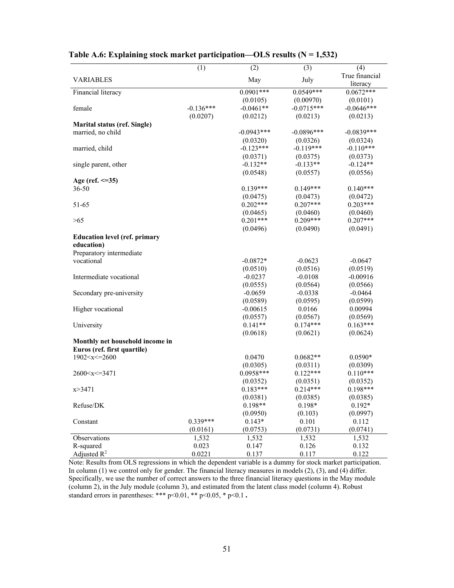|                                                                                                                                      | (1)         | (2)          | (3)          | (4)            |
|--------------------------------------------------------------------------------------------------------------------------------------|-------------|--------------|--------------|----------------|
|                                                                                                                                      |             |              |              | True financial |
| <b>VARIABLES</b>                                                                                                                     |             | May          | July         | literacy       |
| Financial literacy                                                                                                                   |             | $0.0901***$  | $0.0549***$  | $0.0672***$    |
|                                                                                                                                      |             | (0.0105)     | (0.00970)    | (0.0101)       |
| female                                                                                                                               | $-0.136***$ | $-0.0461**$  | $-0.0715***$ | $-0.0646***$   |
|                                                                                                                                      | (0.0207)    | (0.0212)     | (0.0213)     | (0.0213)       |
| <b>Marital status (ref. Single)</b>                                                                                                  |             |              |              |                |
| married, no child                                                                                                                    |             | $-0.0943***$ | $-0.0896***$ | $-0.0839***$   |
|                                                                                                                                      |             | (0.0320)     | (0.0326)     | (0.0324)       |
| married, child                                                                                                                       |             | $-0.123***$  | $-0.119***$  | $-0.110***$    |
|                                                                                                                                      |             | (0.0371)     | (0.0375)     | (0.0373)       |
| single parent, other                                                                                                                 |             | $-0.132**$   | $-0.133**$   | $-0.124**$     |
|                                                                                                                                      |             | (0.0548)     | (0.0557)     | (0.0556)       |
| Age (ref. $\leq=35$ )                                                                                                                |             |              |              |                |
| $36 - 50$                                                                                                                            |             | $0.139***$   | $0.149***$   | $0.140***$     |
|                                                                                                                                      |             | (0.0475)     | (0.0473)     | (0.0472)       |
| 51-65                                                                                                                                |             | $0.202***$   | $0.207***$   | $0.203***$     |
|                                                                                                                                      |             | (0.0465)     | (0.0460)     | (0.0460)       |
| >65                                                                                                                                  |             | $0.201***$   | $0.209***$   | $0.207***$     |
|                                                                                                                                      |             | (0.0496)     | (0.0490)     | (0.0491)       |
| <b>Education level (ref. primary</b>                                                                                                 |             |              |              |                |
| education)                                                                                                                           |             |              |              |                |
| Preparatory intermediate                                                                                                             |             |              |              |                |
| vocational                                                                                                                           |             | $-0.0872*$   | $-0.0623$    | $-0.0647$      |
|                                                                                                                                      |             | (0.0510)     | (0.0516)     | (0.0519)       |
| Intermediate vocational                                                                                                              |             | $-0.0237$    | $-0.0108$    | $-0.00916$     |
|                                                                                                                                      |             | (0.0555)     | (0.0564)     | (0.0566)       |
| Secondary pre-university                                                                                                             |             | $-0.0659$    | $-0.0338$    | $-0.0464$      |
|                                                                                                                                      |             | (0.0589)     | (0.0595)     | (0.0599)       |
| Higher vocational                                                                                                                    |             | $-0.00615$   | 0.0166       | 0.00994        |
|                                                                                                                                      |             | (0.0557)     | (0.0567)     | (0.0569)       |
| University                                                                                                                           |             | $0.141**$    | $0.174***$   | $0.163***$     |
|                                                                                                                                      |             | (0.0618)     | (0.0621)     | (0.0624)       |
| Monthly net household income in                                                                                                      |             |              |              |                |
| Euros (ref. first quartile)                                                                                                          |             |              |              |                |
| 1902 < x < 2600                                                                                                                      |             | 0.0470       | $0.0682**$   | $0.0590*$      |
|                                                                                                                                      |             | (0.0305)     | (0.0311)     | (0.0309)       |
| 2600 <x<=3471< td=""><td></td><td><math>0.0958***</math></td><td><math>0.122***</math></td><td><math>0.110***</math></td></x<=3471<> |             | $0.0958***$  | $0.122***$   | $0.110***$     |
|                                                                                                                                      |             | (0.0352)     | (0.0351)     | (0.0352)       |
| x > 3471                                                                                                                             |             | $0.183***$   | $0.214***$   | $0.198***$     |
|                                                                                                                                      |             | (0.0381)     | (0.0385)     | (0.0385)       |
| Refuse/DK                                                                                                                            |             | $0.198**$    | $0.198*$     | $0.192*$       |
|                                                                                                                                      |             | (0.0950)     | (0.103)      | (0.0997)       |
| Constant                                                                                                                             | 0.339***    | $0.143*$     | 0.101        | 0.112          |
|                                                                                                                                      | (0.0161)    | (0.0753)     | (0.0731)     | (0.0741)       |
| Observations                                                                                                                         | 1,532       | 1,532        | 1,532        | 1,532          |
| R-squared                                                                                                                            | 0.023       | 0.147        | 0.126        | 0.132          |
| Adjusted $R^2$                                                                                                                       | 0.0221      | 0.137        | 0.117        | 0.122          |

## Table A.6: Explaining stock market participation—OLS results (N = 1,532)

Note: Results from OLS regressions in which the dependent variable is a dummy for stock market participation. In column (1) we control only for gender. The financial literacy measures in models (2), (3), and (4) differ. Specifically, we use the number of correct answers to the three financial literacy questions in the May module (column 2), in the July module (column 3), and estimated from the latent class model (column 4). Robust standard errors in parentheses: \*\*\* p<0.01, \*\* p<0.05, \* p<0.1.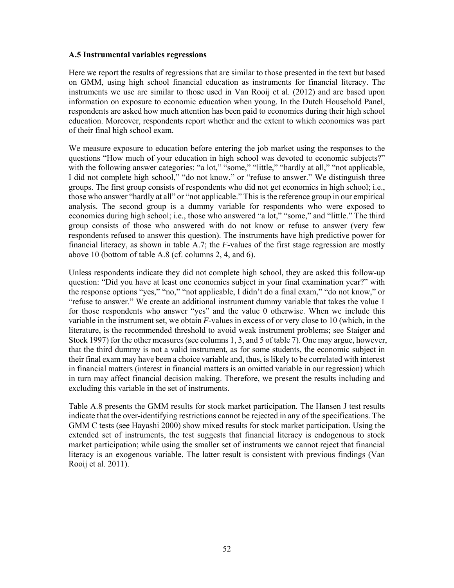#### **A.5 Instrumental variables regressions**

Here we report the results of regressions that are similar to those presented in the text but based on GMM, using high school financial education as instruments for financial literacy. The instruments we use are similar to those used in Van Rooij et al. (2012) and are based upon information on exposure to economic education when young. In the Dutch Household Panel, respondents are asked how much attention has been paid to economics during their high school education. Moreover, respondents report whether and the extent to which economics was part of their final high school exam.

We measure exposure to education before entering the job market using the responses to the questions "How much of your education in high school was devoted to economic subjects?" with the following answer categories: "a lot," "some," "little," "hardly at all," "not applicable, I did not complete high school," "do not know," or "refuse to answer." We distinguish three groups. The first group consists of respondents who did not get economics in high school; i.e., those who answer "hardly at all" or "not applicable." This is the reference group in our empirical analysis. The second group is a dummy variable for respondents who were exposed to economics during high school; i.e., those who answered "a lot," "some," and "little." The third group consists of those who answered with do not know or refuse to answer (very few respondents refused to answer this question). The instruments have high predictive power for financial literacy, as shown in table A.7; the *F*-values of the first stage regression are mostly above 10 (bottom of table A.8 (cf. columns 2, 4, and 6).

Unless respondents indicate they did not complete high school, they are asked this follow-up question: "Did you have at least one economics subject in your final examination year?" with the response options "yes," "no," "not applicable, I didn't do a final exam," "do not know," or "refuse to answer." We create an additional instrument dummy variable that takes the value 1 for those respondents who answer "yes" and the value 0 otherwise. When we include this variable in the instrument set, we obtain *F*-values in excess of or very close to 10 (which, in the literature, is the recommended threshold to avoid weak instrument problems; see Staiger and Stock 1997) for the other measures (see columns 1, 3, and 5 of table 7). One may argue, however, that the third dummy is not a valid instrument, as for some students, the economic subject in their final exam may have been a choice variable and, thus, is likely to be correlated with interest in financial matters (interest in financial matters is an omitted variable in our regression) which in turn may affect financial decision making. Therefore, we present the results including and excluding this variable in the set of instruments.

Table A.8 presents the GMM results for stock market participation. The Hansen J test results indicate that the over-identifying restrictions cannot be rejected in any of the specifications. The GMM C tests (see Hayashi 2000) show mixed results for stock market participation. Using the extended set of instruments, the test suggests that financial literacy is endogenous to stock market participation; while using the smaller set of instruments we cannot reject that financial literacy is an exogenous variable. The latter result is consistent with previous findings (Van Rooij et al. 2011).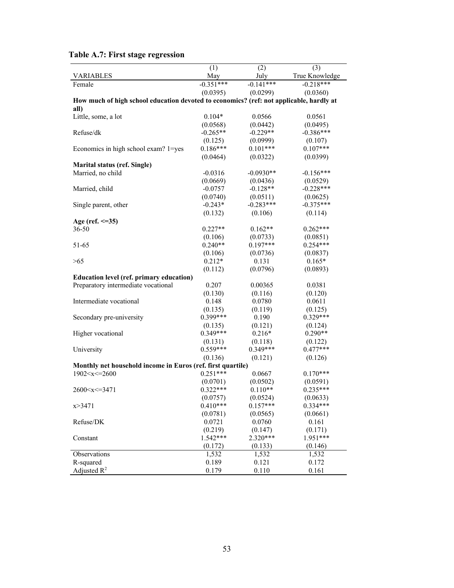|                                                                                                                           | (1)         | (2)         | (3)                    |
|---------------------------------------------------------------------------------------------------------------------------|-------------|-------------|------------------------|
| <b>VARIABLES</b>                                                                                                          | May         | July        | True Knowledge         |
| Female                                                                                                                    | $-0.351***$ | $-0.141***$ | $-0.218***$            |
|                                                                                                                           | (0.0395)    | (0.0299)    | (0.0360)               |
| How much of high school education devoted to economics? (ref: not applicable, hardly at                                   |             |             |                        |
| all)                                                                                                                      |             |             |                        |
| Little, some, a lot                                                                                                       | $0.104*$    | 0.0566      | 0.0561                 |
|                                                                                                                           | (0.0568)    | (0.0442)    | (0.0495)               |
| Refuse/dk                                                                                                                 | $-0.265**$  | $-0.229**$  | $-0.386***$            |
|                                                                                                                           | (0.125)     | (0.0999)    | (0.107)                |
| Economics in high school exam? 1=yes                                                                                      | $0.186***$  | $0.101***$  | $0.107***$             |
|                                                                                                                           | (0.0464)    | (0.0322)    | (0.0399)               |
| Marital status (ref. Single)                                                                                              |             |             |                        |
| Married, no child                                                                                                         | $-0.0316$   | $-0.0930**$ | $-0.156***$            |
|                                                                                                                           | (0.0669)    | (0.0436)    | (0.0529)               |
| Married, child                                                                                                            | $-0.0757$   | $-0.128**$  | $-0.228***$            |
|                                                                                                                           | (0.0740)    | (0.0511)    | (0.0625)               |
| Single parent, other                                                                                                      | $-0.243*$   | $-0.283***$ | $-0.375***$            |
|                                                                                                                           | (0.132)     | (0.106)     | (0.114)                |
| Age (ref. $\leq$ =35)                                                                                                     |             |             |                        |
| $36 - 50$                                                                                                                 | $0.227**$   | $0.162**$   | $0.262***$             |
|                                                                                                                           | (0.106)     | (0.0733)    | (0.0851)               |
| 51-65                                                                                                                     | $0.240**$   | $0.197***$  | $0.254***$             |
|                                                                                                                           | (0.106)     | (0.0736)    | (0.0837)               |
| >65                                                                                                                       | $0.212*$    | 0.131       | $0.165*$               |
|                                                                                                                           | (0.112)     | (0.0796)    | (0.0893)               |
| <b>Education level (ref. primary education)</b>                                                                           |             |             |                        |
| Preparatory intermediate vocational                                                                                       | 0.207       | 0.00365     | 0.0381                 |
|                                                                                                                           | (0.130)     | (0.116)     | (0.120)                |
| Intermediate vocational                                                                                                   | 0.148       | 0.0780      | 0.0611                 |
|                                                                                                                           | (0.135)     | (0.119)     | (0.125)                |
| Secondary pre-university                                                                                                  | $0.399***$  | 0.190       | $0.329***$             |
|                                                                                                                           | (0.135)     | (0.121)     | (0.124)                |
| Higher vocational                                                                                                         | $0.349***$  | $0.216*$    | $0.290**$              |
|                                                                                                                           | (0.131)     | (0.118)     | (0.122)                |
| University                                                                                                                | $0.559***$  | $0.349***$  | $0.477***$             |
|                                                                                                                           | (0.136)     | (0.121)     | (0.126)                |
|                                                                                                                           |             |             |                        |
| Monthly net household income in Euros (ref. first quartile)<br>1902 < x < 2600                                            | $0.251***$  |             | $0.170***$             |
|                                                                                                                           |             | 0.0667      |                        |
|                                                                                                                           | (0.0701)    | (0.0502)    | (0.0591)               |
| 2600 <x<=3471< td=""><td><math>0.322***</math></td><td><math>0.110**</math></td><td><math>0.235***</math></td></x<=3471<> | $0.322***$  | $0.110**$   | $0.235***$             |
|                                                                                                                           | (0.0757)    | (0.0524)    | (0.0633)<br>$0.334***$ |
| x > 3471                                                                                                                  | $0.410***$  | $0.157***$  |                        |
|                                                                                                                           | (0.0781)    | (0.0565)    | (0.0661)               |
| Refuse/DK                                                                                                                 | 0.0721      | 0.0760      | 0.161                  |
|                                                                                                                           | (0.219)     | (0.147)     | (0.171)                |
| Constant                                                                                                                  | $1.542***$  | 2.320***    | 1.951***               |
|                                                                                                                           | (0.172)     | (0.133)     | (0.146)                |
| Observations                                                                                                              | 1,532       | 1,532       | 1,532                  |
| R-squared                                                                                                                 | 0.189       | 0.121       | 0.172                  |
| Adjusted $R^2$                                                                                                            | 0.179       | 0.110       | 0.161                  |

# **Table A.7: First stage regression**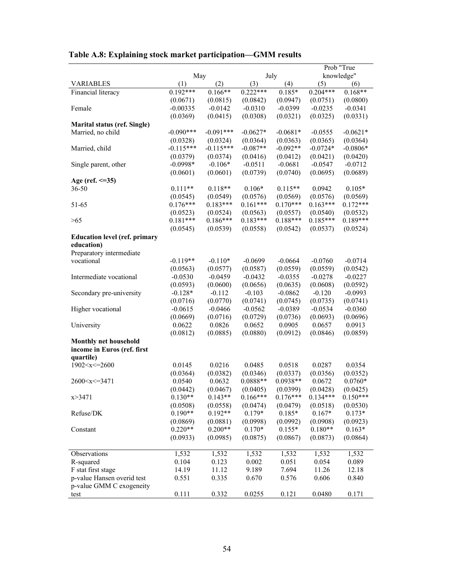|  |  |  |  |  | Table A.8: Explaining stock market participation-GMM results |  |
|--|--|--|--|--|--------------------------------------------------------------|--|
|  |  |  |  |  |                                                              |  |

|                                      |                       |                       |            |                      | Prob "True             |            |  |  |
|--------------------------------------|-----------------------|-----------------------|------------|----------------------|------------------------|------------|--|--|
|                                      | May                   |                       |            | July                 | knowledge"             |            |  |  |
| <b>VARIABLES</b>                     | (1)                   | (2)                   | (3)        | (4)                  | (5)                    | (6)        |  |  |
| Financial literacy                   | $0.192***$            | $0.166**$             | $0.222***$ | $0.185*$             | $0.204***$             | $0.168**$  |  |  |
|                                      | (0.0671)              | (0.0815)              | (0.0842)   | (0.0947)             | (0.0751)               | (0.0800)   |  |  |
| Female                               | $-0.00335$            | $-0.0142$             | $-0.0310$  | $-0.0399$            | $-0.0235$              | $-0.0341$  |  |  |
|                                      | (0.0369)              | (0.0415)              | (0.0308)   | (0.0321)             | (0.0325)               | (0.0331)   |  |  |
| <b>Marital status (ref. Single)</b>  |                       |                       |            |                      |                        |            |  |  |
| Married, no child                    | $-0.090***$           | $-0.091***$           | $-0.0627*$ | $-0.0681*$           | $-0.0555$              | $-0.0621*$ |  |  |
|                                      | (0.0328)              | (0.0324)              | (0.0364)   | (0.0363)             | (0.0365)               | (0.0364)   |  |  |
| Married, child                       | $-0.115***$           | $-0.115***$           | $-0.087**$ | $-0.092**$           | $-0.0724*$             | $-0.0806*$ |  |  |
|                                      | (0.0379)              | (0.0374)              | (0.0416)   | (0.0412)             | (0.0421)               | (0.0420)   |  |  |
| Single parent, other                 | $-0.0998*$            | $-0.106*$             | $-0.0511$  | $-0.0681$            | $-0.0547$              | $-0.0712$  |  |  |
|                                      | (0.0601)              | (0.0601)              | (0.0739)   | (0.0740)             | (0.0695)               | (0.0689)   |  |  |
| Age (ref. $\leq$ =35)                |                       |                       |            |                      |                        |            |  |  |
| 36-50                                | $0.111**$             | $0.118**$             | $0.106*$   | $0.115**$            | 0.0942                 | $0.105*$   |  |  |
|                                      |                       |                       |            |                      |                        |            |  |  |
|                                      | (0.0545)              | (0.0549)              | (0.0576)   | (0.0569)             | (0.0576)<br>$0.163***$ | (0.0569)   |  |  |
| 51-65                                | $0.176***$            | $0.183***$            | $0.161***$ | $0.170***$           |                        | $0.172***$ |  |  |
|                                      | (0.0523)              | (0.0524)              | (0.0563)   | (0.0557)             | (0.0540)               | (0.0532)   |  |  |
| >65                                  | $0.181***$            | $0.186***$            | $0.183***$ | $0.188***$           | $0.185***$             | $0.189***$ |  |  |
|                                      | (0.0545)              | (0.0539)              | (0.0558)   | (0.0542)             | (0.0537)               | (0.0524)   |  |  |
| <b>Education level (ref. primary</b> |                       |                       |            |                      |                        |            |  |  |
| education)                           |                       |                       |            |                      |                        |            |  |  |
| Preparatory intermediate             |                       |                       |            |                      |                        |            |  |  |
| vocational                           | $-0.119**$            | $-0.110*$             | $-0.0699$  | $-0.0664$            | $-0.0760$              | $-0.0714$  |  |  |
|                                      | (0.0563)              | (0.0577)              | (0.0587)   | (0.0559)             | (0.0559)               | (0.0542)   |  |  |
| Intermediate vocational              | $-0.0530$             | $-0.0459$             | $-0.0432$  | $-0.0355$            | $-0.0278$              | $-0.0227$  |  |  |
|                                      | (0.0593)              | (0.0600)              | (0.0656)   | (0.0635)             | (0.0608)               | (0.0592)   |  |  |
| Secondary pre-university             | $-0.128*$             | $-0.112$              | $-0.103$   | $-0.0862$            | $-0.120$               | $-0.0993$  |  |  |
|                                      | (0.0716)              | (0.0770)              | (0.0741)   | (0.0745)             | (0.0735)               | (0.0741)   |  |  |
| Higher vocational                    | $-0.0615$             | $-0.0466$             | $-0.0562$  | $-0.0389$            | $-0.0534$              | $-0.0360$  |  |  |
|                                      | (0.0669)              | (0.0716)              | (0.0729)   | (0.0736)             | (0.0693)               | (0.0696)   |  |  |
| University                           | 0.0622                | 0.0826                | 0.0652     | 0.0905               | 0.0657                 | 0.0913     |  |  |
|                                      | (0.0812)              | (0.0885)              | (0.0880)   | (0.0912)             | (0.0846)               | (0.0859)   |  |  |
| Monthly net household                |                       |                       |            |                      |                        |            |  |  |
| income in Euros (ref. first          |                       |                       |            |                      |                        |            |  |  |
| quartile)                            |                       |                       |            |                      |                        |            |  |  |
| 1902 < x < 2600                      | 0.0145                | 0.0216                | 0.0485     | 0.0518               | 0.0287                 | 0.0354     |  |  |
|                                      | (0.0364)              | (0.0382)              | (0.0346)   | (0.0337)             | (0.0356)               | (0.0352)   |  |  |
| 2600 < x < 3471                      | 0.0540                | 0.0632                | $0.0888**$ | $0.0938**$           | 0.0672                 | $0.0760*$  |  |  |
|                                      | (0.0442)              | (0.0467)              | (0.0405)   | (0.0399)             | (0.0428)               | (0.0425)   |  |  |
| x > 3471                             | $0.130**$             | $0.143**$             | $0.166***$ | $0.176***$           | $0.134***$             | $0.150***$ |  |  |
|                                      |                       |                       |            |                      |                        |            |  |  |
|                                      | (0.0508)<br>$0.190**$ | (0.0558)<br>$0.192**$ | (0.0474)   | (0.0479)<br>$0.185*$ | (0.0518)               | (0.0530)   |  |  |
| Refuse/DK                            |                       |                       | $0.179*$   |                      | $0.167*$               | $0.173*$   |  |  |
|                                      | (0.0869)              | (0.0881)              | (0.0998)   | (0.0992)             | (0.0908)               | (0.0923)   |  |  |
| Constant                             | $0.220**$             | $0.200**$             | $0.170*$   | $0.155*$             | $0.180**$              | $0.163*$   |  |  |
|                                      | (0.0933)              | (0.0985)              | (0.0875)   | (0.0867)             | (0.0873)               | (0.0864)   |  |  |
|                                      |                       |                       |            |                      |                        |            |  |  |
| Observations                         | 1,532                 | 1,532                 | 1,532      | 1,532                | 1,532                  | 1,532      |  |  |
| R-squared                            | 0.104                 | 0.123                 | 0.002      | 0.051                | 0.054                  | 0.089      |  |  |
| F stat first stage                   | 14.19                 | 11.12                 | 9.189      | 7.694                | 11.26                  | 12.18      |  |  |
| p-value Hansen overid test           | 0.551                 | 0.335                 | 0.670      | 0.576                | 0.606                  | 0.840      |  |  |
| p-value GMM C exogeneity             |                       |                       |            |                      |                        |            |  |  |
| test                                 | 0.111                 | 0.332                 | 0.0255     | 0.121                | 0.0480                 | 0.171      |  |  |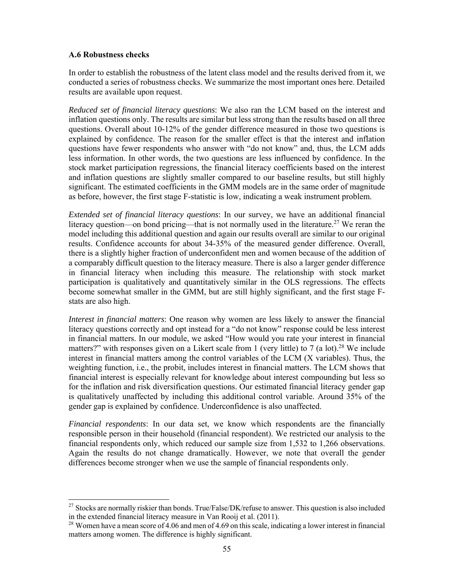#### **A.6 Robustness checks**

 $\overline{\phantom{a}}$ 

In order to establish the robustness of the latent class model and the results derived from it, we conducted a series of robustness checks. We summarize the most important ones here. Detailed results are available upon request.

*Reduced set of financial literacy questions*: We also ran the LCM based on the interest and inflation questions only. The results are similar but less strong than the results based on all three questions. Overall about 10-12% of the gender difference measured in those two questions is explained by confidence. The reason for the smaller effect is that the interest and inflation questions have fewer respondents who answer with "do not know" and, thus, the LCM adds less information. In other words, the two questions are less influenced by confidence. In the stock market participation regressions, the financial literacy coefficients based on the interest and inflation questions are slightly smaller compared to our baseline results, but still highly significant. The estimated coefficients in the GMM models are in the same order of magnitude as before, however, the first stage F-statistic is low, indicating a weak instrument problem.

*Extended set of financial literacy questions*: In our survey, we have an additional financial literacy question—on bond pricing—that is not normally used in the literature.<sup>27</sup> We reran the model including this additional question and again our results overall are similar to our original results. Confidence accounts for about 34-35% of the measured gender difference. Overall, there is a slightly higher fraction of underconfident men and women because of the addition of a comparably difficult question to the literacy measure. There is also a larger gender difference in financial literacy when including this measure. The relationship with stock market participation is qualitatively and quantitatively similar in the OLS regressions. The effects become somewhat smaller in the GMM, but are still highly significant, and the first stage Fstats are also high.

*Interest in financial matters*: One reason why women are less likely to answer the financial literacy questions correctly and opt instead for a "do not know" response could be less interest in financial matters. In our module, we asked "How would you rate your interest in financial matters?" with responses given on a Likert scale from 1 (very little) to 7 (a lot).<sup>28</sup> We include interest in financial matters among the control variables of the LCM (X variables). Thus, the weighting function, i.e., the probit, includes interest in financial matters. The LCM shows that financial interest is especially relevant for knowledge about interest compounding but less so for the inflation and risk diversification questions. Our estimated financial literacy gender gap is qualitatively unaffected by including this additional control variable. Around 35% of the gender gap is explained by confidence. Underconfidence is also unaffected.

*Financial respondents*: In our data set, we know which respondents are the financially responsible person in their household (financial respondent). We restricted our analysis to the financial respondents only, which reduced our sample size from 1,532 to 1,266 observations. Again the results do not change dramatically. However, we note that overall the gender differences become stronger when we use the sample of financial respondents only.

<sup>&</sup>lt;sup>27</sup> Stocks are normally riskier than bonds. True/False/DK/refuse to answer. This question is also included in the extended financial literacy measure in Van Rooij et al. (2011).

<sup>&</sup>lt;sup>28</sup> Women have a mean score of 4.06 and men of 4.69 on this scale, indicating a lower interest in financial matters among women. The difference is highly significant.